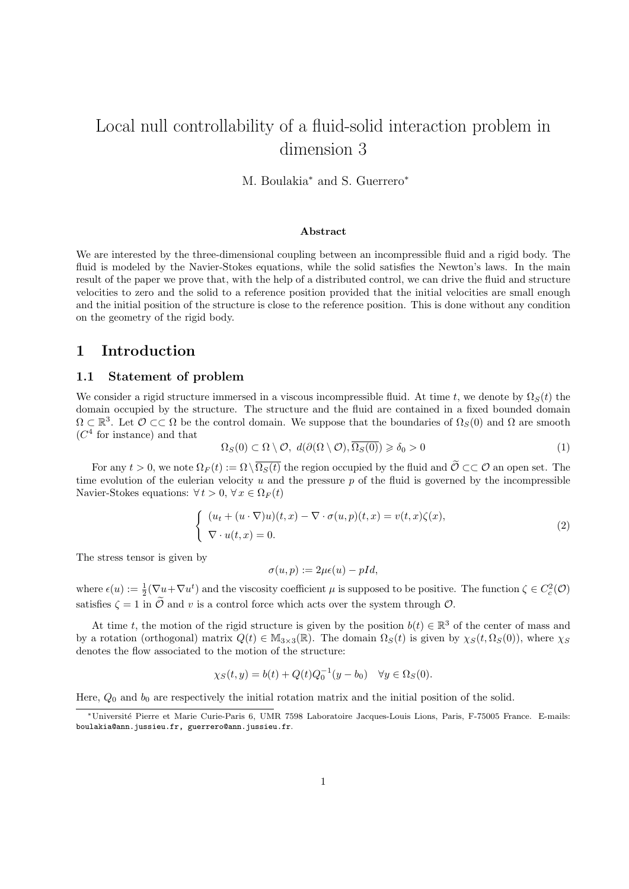# Local null controllability of a fluid-solid interaction problem in dimension 3

M. Boulakia<sup>∗</sup> and S. Guerrero<sup>∗</sup>

#### Abstract

We are interested by the three-dimensional coupling between an incompressible fluid and a rigid body. The fluid is modeled by the Navier-Stokes equations, while the solid satisfies the Newton's laws. In the main result of the paper we prove that, with the help of a distributed control, we can drive the fluid and structure velocities to zero and the solid to a reference position provided that the initial velocities are small enough and the initial position of the structure is close to the reference position. This is done without any condition on the geometry of the rigid body.

# 1 Introduction

### 1.1 Statement of problem

We consider a rigid structure immersed in a viscous incompressible fluid. At time t, we denote by  $\Omega_S(t)$  the domain occupied by the structure. The structure and the fluid are contained in a fixed bounded domain  $\Omega \subset \mathbb{R}^3$ . Let  $\mathcal{O} \subset \subset \Omega$  be the control domain. We suppose that the boundaries of  $\Omega_S(0)$  and  $\Omega$  are smooth  $(C<sup>4</sup>$  for instance) and that

$$
\Omega_S(0) \subset \Omega \setminus \mathcal{O}, \ d(\partial(\Omega \setminus \mathcal{O}), \overline{\Omega_S(0)}) \geq \delta_0 > 0 \tag{1}
$$

For any  $t > 0$ , we note  $\Omega_F(t) := \Omega \setminus \overline{\Omega_S(t)}$  the region occupied by the fluid and  $\widetilde{\mathcal{O}} \subset\subset \mathcal{O}$  an open set. The time evolution of the eulerian velocity u and the pressure p of the fluid is governed by the incompressible Navier-Stokes equations:  $\forall t > 0, \forall x \in \Omega_F(t)$ 

$$
\begin{cases}\n(u_t + (u \cdot \nabla)u)(t, x) - \nabla \cdot \sigma(u, p)(t, x) = v(t, x)\zeta(x), \\
\nabla \cdot u(t, x) = 0.\n\end{cases}
$$
\n(2)

The stress tensor is given by

$$
\sigma(u, p) := 2\mu\epsilon(u) - pId,
$$

where  $\epsilon(u) := \frac{1}{2}(\nabla u + \nabla u^t)$  and the viscosity coefficient  $\mu$  is supposed to be positive. The function  $\zeta \in C_c^2(\mathcal{O})$ satisfies  $\zeta = 1$  in  $\tilde{\mathcal{O}}$  and v is a control force which acts over the system through  $\mathcal{O}$ .

At time t, the motion of the rigid structure is given by the position  $b(t) \in \mathbb{R}^3$  of the center of mass and by a rotation (orthogonal) matrix  $Q(t) \in M_{3\times 3}(\mathbb{R})$ . The domain  $\Omega_S(t)$  is given by  $\chi_S(t, \Omega_S(0))$ , where  $\chi_S$ denotes the flow associated to the motion of the structure:

$$
\chi_S(t, y) = b(t) + Q(t)Q_0^{-1}(y - b_0) \quad \forall y \in \Omega_S(0).
$$

Here,  $Q_0$  and  $b_0$  are respectively the initial rotation matrix and the initial position of the solid.

<sup>∗</sup>Universit´e Pierre et Marie Curie-Paris 6, UMR 7598 Laboratoire Jacques-Louis Lions, Paris, F-75005 France. E-mails: boulakia@ann.jussieu.fr, guerrero@ann.jussieu.fr.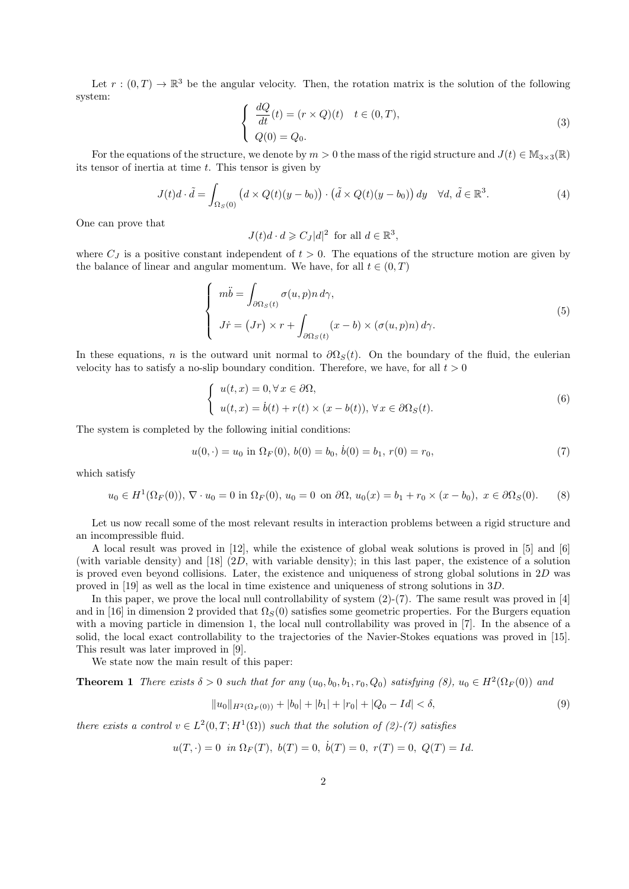Let  $r:(0,T) \to \mathbb{R}^3$  be the angular velocity. Then, the rotation matrix is the solution of the following system:

$$
\begin{cases}\n\frac{dQ}{dt}(t) = (r \times Q)(t) & t \in (0, T), \\
Q(0) = Q_0.\n\end{cases}
$$
\n(3)

For the equations of the structure, we denote by  $m > 0$  the mass of the rigid structure and  $J(t) \in M_{3 \times 3}(\mathbb{R})$ its tensor of inertia at time  $t$ . This tensor is given by

$$
J(t)d \cdot \tilde{d} = \int_{\Omega_S(0)} \left( d \times Q(t)(y - b_0) \right) \cdot \left( \tilde{d} \times Q(t)(y - b_0) \right) dy \quad \forall d, \, \tilde{d} \in \mathbb{R}^3.
$$
 (4)

One can prove that

$$
J(t)d \cdot d \geqslant C_J|d|^2 \text{ for all } d \in \mathbb{R}^3,
$$

where  $C_J$  is a positive constant independent of  $t > 0$ . The equations of the structure motion are given by the balance of linear and angular momentum. We have, for all  $t \in (0, T)$ 

$$
\begin{cases}\n m\ddot{b} = \int_{\partial\Omega_S(t)} \sigma(u, p) n \, d\gamma, \\
J\dot{r} = (Jr) \times r + \int_{\partial\Omega_S(t)} (x - b) \times (\sigma(u, p) n) \, d\gamma.\n\end{cases} \tag{5}
$$

In these equations, n is the outward unit normal to  $\partial\Omega_s(t)$ . On the boundary of the fluid, the eulerian velocity has to satisfy a no-slip boundary condition. Therefore, we have, for all  $t > 0$ 

$$
\begin{cases}\n u(t,x) = 0, \forall x \in \partial\Omega, \\
 u(t,x) = \dot{b}(t) + r(t) \times (x - b(t)), \forall x \in \partial\Omega_{S}(t).\n\end{cases}
$$
\n(6)

The system is completed by the following initial conditions:

$$
u(0, \cdot) = u_0 \text{ in } \Omega_F(0), \, b(0) = b_0, \, \dot{b}(0) = b_1, \, r(0) = r_0,\tag{7}
$$

which satisfy

$$
u_0 \in H^1(\Omega_F(0)), \nabla \cdot u_0 = 0
$$
 in  $\Omega_F(0), u_0 = 0$  on  $\partial \Omega$ ,  $u_0(x) = b_1 + r_0 \times (x - b_0), x \in \partial \Omega_S(0)$ . (8)

Let us now recall some of the most relevant results in interaction problems between a rigid structure and an incompressible fluid.

A local result was proved in [12], while the existence of global weak solutions is proved in [5] and [6] (with variable density) and [18] (2D, with variable density); in this last paper, the existence of a solution is proved even beyond collisions. Later, the existence and uniqueness of strong global solutions in  $2D$  was proved in [19] as well as the local in time existence and uniqueness of strong solutions in 3D.

In this paper, we prove the local null controllability of system  $(2)-(7)$ . The same result was proved in [4] and in [16] in dimension 2 provided that  $\Omega_S(0)$  satisfies some geometric properties. For the Burgers equation with a moving particle in dimension 1, the local null controllability was proved in [7]. In the absence of a solid, the local exact controllability to the trajectories of the Navier-Stokes equations was proved in [15]. This result was later improved in [9].

We state now the main result of this paper:

**Theorem 1** There exists  $\delta > 0$  such that for any  $(u_0, b_0, b_1, r_0, Q_0)$  satisfying  $(8)$ ,  $u_0 \in H^2(\Omega_F(0))$  and

$$
||u_0||_{H^2(\Omega_F(0))} + |b_0| + |b_1| + |r_0| + |Q_0 - Id| < \delta,\tag{9}
$$

there exists a control  $v \in L^2(0,T;H^1(\Omega))$  such that the solution of (2)-(7) satisfies

$$
u(T, \cdot) = 0
$$
 in  $\Omega_F(T)$ ,  $b(T) = 0$ ,  $\dot{b}(T) = 0$ ,  $r(T) = 0$ ,  $Q(T) = Id$ .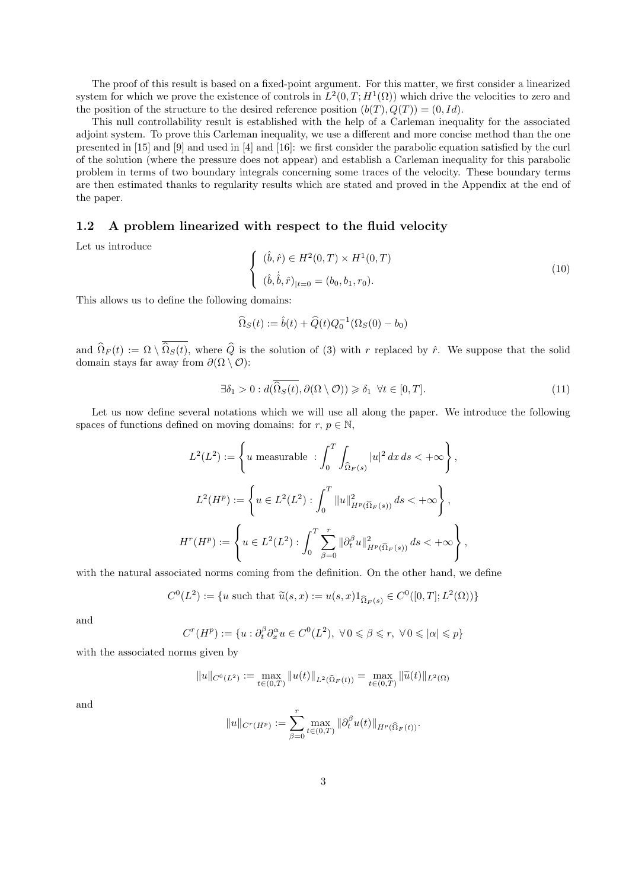The proof of this result is based on a fixed-point argument. For this matter, we first consider a linearized system for which we prove the existence of controls in  $L^2(0,T;H^1(\Omega))$  which drive the velocities to zero and the position of the structure to the desired reference position  $(b(T), Q(T)) = (0, Id)$ .

This null controllability result is established with the help of a Carleman inequality for the associated adjoint system. To prove this Carleman inequality, we use a different and more concise method than the one presented in [15] and [9] and used in [4] and [16]: we first consider the parabolic equation satisfied by the curl of the solution (where the pressure does not appear) and establish a Carleman inequality for this parabolic problem in terms of two boundary integrals concerning some traces of the velocity. These boundary terms are then estimated thanks to regularity results which are stated and proved in the Appendix at the end of the paper.

### 1.2 A problem linearized with respect to the fluid velocity

Let us introduce

$$
\begin{cases} (\hat{b}, \hat{r}) \in H^2(0, T) \times H^1(0, T) \\ (\hat{b}, \dot{\hat{b}}, \hat{r})_{|t=0} = (b_0, b_1, r_0). \end{cases}
$$
\n(10)

This allows us to define the following domains:

$$
\widehat{\Omega}_S(t) := \widehat{b}(t) + \widehat{Q}(t)Q_0^{-1}(\Omega_S(0) - b_0)
$$

and  $\widehat{\Omega}_F(t) := \Omega \setminus \overline{\widehat{\Omega}_S(t)}$ , where  $\widehat{Q}$  is the solution of (3) with r replaced by  $\hat{r}$ . We suppose that the solid domain stays far away from  $\partial(\Omega \setminus \mathcal{O})$ :

$$
\exists \delta_1 > 0 : d(\overline{\hat{\Omega}_S(t)}, \partial(\Omega \setminus \mathcal{O})) \geq \delta_1 \ \forall t \in [0, T]. \tag{11}
$$

Let us now define several notations which we will use all along the paper. We introduce the following spaces of functions defined on moving domains: for  $r, p \in \mathbb{N}$ ,

$$
L^{2}(L^{2}) := \left\{ u \text{ measurable } : \int_{0}^{T} \int_{\hat{\Omega}_{F}(s)} |u|^{2} dx ds < +\infty \right\},
$$
  

$$
L^{2}(H^{p}) := \left\{ u \in L^{2}(L^{2}) : \int_{0}^{T} ||u||_{H^{p}(\hat{\Omega}_{F}(s))}^{2} ds < +\infty \right\},
$$
  

$$
H^{r}(H^{p}) := \left\{ u \in L^{2}(L^{2}) : \int_{0}^{T} \sum_{\beta=0}^{r} ||\partial_{t}^{\beta} u||_{H^{p}(\hat{\Omega}_{F}(s))}^{2} ds < +\infty \right\},
$$

with the natural associated norms coming from the definition. On the other hand, we define

$$
C^0(L^2) := \{ u \text{ such that } \tilde{u}(s,x) := u(s,x) 1_{\Omega_F(s)} \in C^0([0,T]; L^2(\Omega)) \}
$$

and

$$
C^{r}(H^{p}) := \{ u : \partial_{t}^{\beta} \partial_{x}^{\alpha} u \in C^{0}(L^{2}), \ \forall 0 \leq \beta \leq r, \ \forall 0 \leq |\alpha| \leq p \}
$$

with the associated norms given by

$$
||u||_{C^0(L^2)} := \max_{t \in (0,T)} ||u(t)||_{L^2(\widehat{\Omega}_F(t))} = \max_{t \in (0,T)} ||\widetilde{u}(t)||_{L^2(\Omega)}
$$

and

$$
||u||_{C^r(H^p)} := \sum_{\beta=0}^r \max_{t \in (0,T)} ||\partial_t^{\beta} u(t)||_{H^p(\widehat{\Omega}_F(t))}.
$$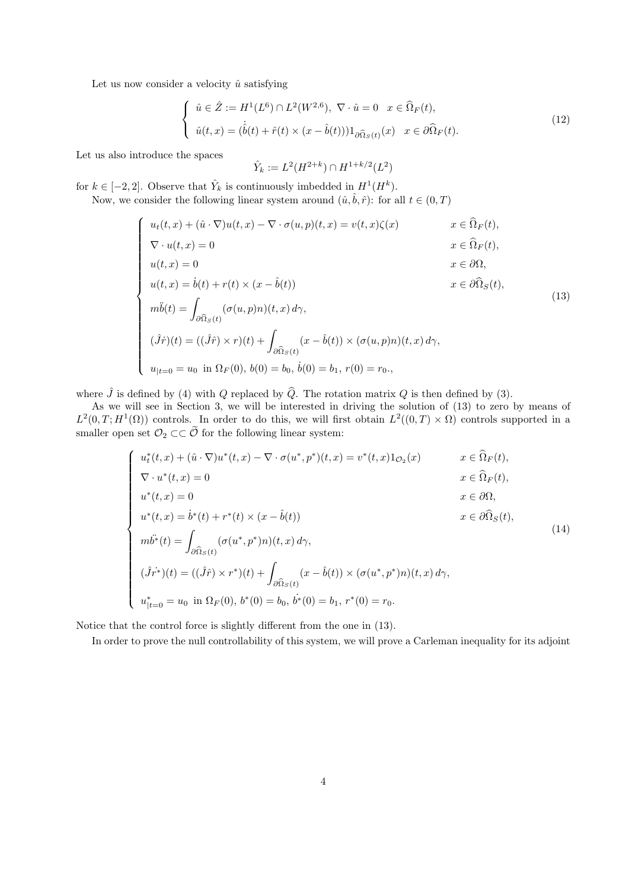Let us now consider a velocity  $\hat{u}$  satisfying

$$
\begin{cases}\n\hat{u} \in \hat{Z} := H^1(L^6) \cap L^2(W^{2,6}), \ \nabla \cdot \hat{u} = 0 \quad x \in \hat{\Omega}_F(t), \\
\hat{u}(t,x) = (\dot{\hat{b}}(t) + \hat{r}(t) \times (x - \hat{b}(t)))1_{\partial \hat{\Omega}_S(t)}(x) \quad x \in \partial \hat{\Omega}_F(t).\n\end{cases}
$$
\n(12)

Let us also introduce the spaces

 $\sqrt{ }$ 

 $\overline{\phantom{a}}$ 

 $\begin{array}{c} \hline \end{array}$ 

$$
\hat{Y}_k := L^2(H^{2+k}) \cap H^{1+k/2}(L^2)
$$

for  $k \in [-2, 2]$ . Observe that  $\hat{Y}_k$  is continuously imbedded in  $H^1(H^k)$ . Now, we consider the following linear system around  $(\hat{u}, \hat{b}, \hat{r})$ : for all  $t \in (0, T)$ 

$$
u_t(t, x) + (\hat{u} \cdot \nabla)u(t, x) - \nabla \cdot \sigma(u, p)(t, x) = v(t, x)\zeta(x) \qquad x \in \hat{\Omega}_F(t),
$$
  
\n
$$
\nabla \cdot u(t, x) = 0 \qquad x \in \hat{\Omega}_F(t),
$$
  
\n
$$
u(t, x) = 0 \qquad x \in \partial\Omega,
$$
  
\n
$$
u(t, x) = \dot{b}(t) + r(t) \times (x - \hat{b}(t)) \qquad x \in \partial\hat{\Omega}_S(t),
$$
  
\n
$$
m\ddot{b}(t) = \int_{\partial\hat{\Omega}_S(t)} (\sigma(u, p)n)(t, x) d\gamma,
$$
  
\n
$$
(\hat{J}\dot{r})(t) = ((\hat{J}\hat{r}) \times r)(t) + \int_{\partial\hat{\Omega}_S(t)} (x - \hat{b}(t)) \times (\sigma(u, p)n)(t, x) d\gamma,
$$
  
\n
$$
u_{|t=0} = u_0 \text{ in } \Omega_F(0), b(0) = b_0, \dot{b}(0) = b_1, r(0) = r_0.
$$
\n
$$
(13)
$$

where  $\hat{J}$  is defined by (4) with Q replaced by  $\hat{Q}$ . The rotation matrix Q is then defined by (3).<br>As we will see in Section 3, we will be interested in driving the solution of (13) to zero by means of  $L^2(0,T;H^1(\Omega))$  controls. In order to do this, we will first obtain  $L^2((0,T)\times\Omega)$  controls supported in a smaller open set  $\mathcal{O}_2 \subset\subset \mathcal{O}$  for the following linear system:

$$
\begin{cases}\nu_t^*(t, x) + (\hat{u} \cdot \nabla)u^*(t, x) - \nabla \cdot \sigma(u^*, p^*)(t, x) = v^*(t, x)\mathbf{1}_{\mathcal{O}_2}(x) & x \in \widehat{\Omega}_F(t), \\
\nabla \cdot u^*(t, x) = 0 & x \in \widehat{\Omega}_F(t), \\
u^*(t, x) = 0 & x \in \partial\Omega, \\
u^*(t, x) = \dot{b}^*(t) + r^*(t) \times (x - \hat{b}(t)) & x \in \partial\widehat{\Omega}_S(t), \\
m\ddot{b}^*(t) = \int_{\partial\widehat{\Omega}_S(t)} (\sigma(u^*, p^*)) (t, x) d\gamma, \\
(\hat{J}r^*)(t) = ((\hat{J}\hat{r}) \times r^*)(t) + \int_{\partial\widehat{\Omega}_S(t)} (x - \hat{b}(t)) \times (\sigma(u^*, p^*)) (t, x) d\gamma, \\
u_{|t=0}^* = u_0 \text{ in } \Omega_F(0), b^*(0) = b_0, \dot{b}^*(0) = b_1, r^*(0) = r_0.\n\end{cases} (14)
$$

Notice that the control force is slightly different from the one in (13).

In order to prove the null controllability of this system, we will prove a Carleman inequality for its adjoint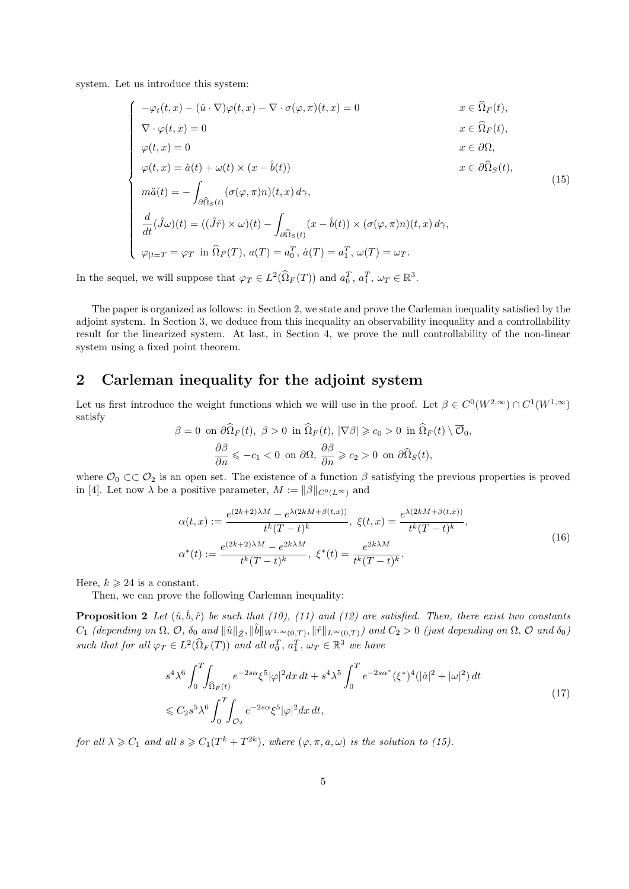system. Let us introduce this system:

$$
\begin{cases}\n-\varphi_t(t,x) - (\hat{u} \cdot \nabla)\varphi(t,x) - \nabla \cdot \sigma(\varphi, \pi)(t,x) = 0 & x \in \hat{\Omega}_F(t), \\
\nabla \cdot \varphi(t,x) = 0 & x \in \hat{\Omega}_F(t), \\
\varphi(t,x) = 0 & x \in \partial\Omega, \\
\varphi(t,x) = \dot{a}(t) + \omega(t) \times (x - \hat{b}(t)) & x \in \partial\hat{\Omega}_S(t), \\
m\ddot{a}(t) = -\int_{\partial\hat{\Omega}_S(t)} (\sigma(\varphi, \pi)n)(t,x) d\gamma, & \\
\frac{d}{dt}(\hat{J}\omega)(t) = ((\hat{J}\hat{r}) \times \omega)(t) - \int_{\partial\hat{\Omega}_S(t)} (x - \hat{b}(t)) \times (\sigma(\varphi, \pi)n)(t,x) d\gamma, \\
\varphi_{|t=T} = \varphi_T \text{ in } \hat{\Omega}_F(T), a(T) = a_0^T, \dot{a}(T) = a_1^T, \omega(T) = \omega_T.\n\end{cases} (15)
$$

In the sequel, we will suppose that  $\varphi_T \in L^2(\widehat{\Omega}_F(T))$  and  $a_0^T, a_1^T, \omega_T \in \mathbb{R}^3$ .

The paper is organized as follows: in Section 2, we state and prove the Carleman inequality satisfied by the adjoint system. In Section 3, we deduce from this inequality an observability inequality and a controllability result for the linearized system. At last, in Section 4, we prove the null controllability of the non-linear system using a fixed point theorem.

# 2 Carleman inequality for the adjoint system

Let us first introduce the weight functions which we will use in the proof. Let  $\beta \in C^0(W^{2,\infty}) \cap C^1(W^{1,\infty})$ satisfy

$$
\beta = 0 \text{ on } \partial \hat{\Omega}_F(t), \ \beta > 0 \text{ in } \hat{\Omega}_F(t), \ |\nabla \beta| \geq c_0 > 0 \text{ in } \hat{\Omega}_F(t) \setminus \overline{\mathcal{O}}_0,
$$

$$
\frac{\partial \beta}{\partial n} \leqslant -c_1 < 0 \text{ on } \partial \Omega, \ \frac{\partial \beta}{\partial n} \geqslant c_2 > 0 \text{ on } \partial \hat{\Omega}_S(t),
$$

where  $\mathcal{O}_0 \subset\subset \mathcal{O}_2$  is an open set. The existence of a function  $\beta$  satisfying the previous properties is proved in [4]. Let now  $\lambda$  be a positive parameter,  $M := ||\beta||_{C^0(L^{\infty})}$  and

$$
\alpha(t,x) := \frac{e^{(2k+2)\lambda M} - e^{\lambda(2kM+\beta(t,x))}}{t^k(T-t)^k}, \ \xi(t,x) = \frac{e^{\lambda(2kM+\beta(t,x))}}{t^k(T-t)^k},
$$
  

$$
\alpha^*(t) := \frac{e^{(2k+2)\lambda M} - e^{2k\lambda M}}{t^k(T-t)^k}, \ \xi^*(t) = \frac{e^{2k\lambda M}}{t^k(T-t)^k}.
$$
 (16)

Here,  $k \geqslant 24$  is a constant.

Then, we can prove the following Carleman inequality:

**Proposition 2** Let  $(\hat{u}, \hat{b}, \hat{r})$  be such that (10), (11) and (12) are satisfied. Then, there exist two constants  $C_1$  (depending on  $\Omega$ ,  $\mathcal{O}$ ,  $\delta_0$  and  $\|\hat{u}\|_{\hat{Z}}$ ,  $\|\hat{b}\|_{W^{1,\infty}(0,T)}$ ,  $\|\hat{r}\|_{L^{\infty}(0,T)}$ ) and  $C_2 > 0$  (just depending on  $\Omega$ ,  $\mathcal O$  and  $\delta_0$ ) such that for all  $\varphi_T \in L^2(\widehat{\Omega}_F(T))$  and all  $a_0^T, a_1^T, \omega_T \in \mathbb{R}^3$  we have

$$
s^{4}\lambda^{6}\int_{0}^{T}\!\!\int_{\widehat{\Omega}_{F}(t)}e^{-2s\alpha}\xi^{5}|\varphi|^{2}dx dt + s^{4}\lambda^{5}\int_{0}^{T}e^{-2s\alpha^{*}}(\xi^{*})^{4}(|\dot{a}|^{2}+|\omega|^{2}) dt
$$
  

$$
\leq C_{2}s^{5}\lambda^{6}\int_{0}^{T}\!\!\int_{\mathcal{O}_{2}}e^{-2s\alpha}\xi^{5}|\varphi|^{2}dx dt,
$$
\n(17)

for all  $\lambda \geqslant C_1$  and all  $s \geqslant C_1(T^k+T^{2k})$ , where  $(\varphi, \pi, a, \omega)$  is the solution to (15).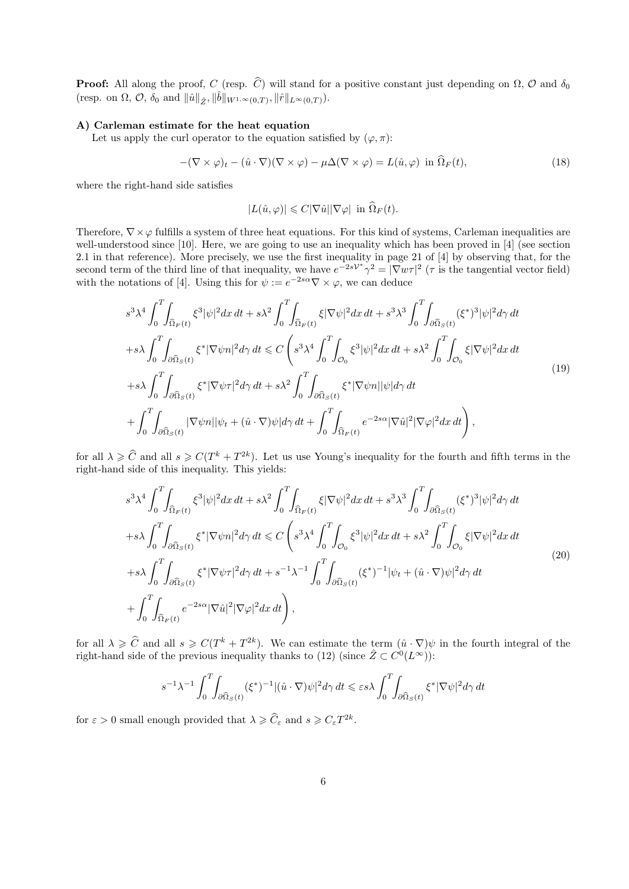**Proof:** All along the proof, C (resp.  $\hat{C}$ ) will stand for a positive constant just depending on  $\Omega$ ,  $\mathcal{O}$  and  $\delta_0$ (resp. on  $\Omega$ ,  $\mathcal{O}$ ,  $\delta_0$  and  $\|\hat{u}\|_{\hat{Z}}$ ,  $\|\hat{b}\|_{W^{1,\infty}(0,T)}$ ,  $\|\hat{r}\|_{L^{\infty}(0,T)}$ ).

### A) Carleman estimate for the heat equation

Let us apply the curl operator to the equation satisfied by  $(\varphi, \pi)$ :

$$
-(\nabla \times \varphi)_t - (\hat{u} \cdot \nabla)(\nabla \times \varphi) - \mu \Delta(\nabla \times \varphi) = L(\hat{u}, \varphi) \text{ in } \Omega_F(t), \tag{18}
$$

where the right-hand side satisfies

$$
|L(\hat{u}, \varphi)| \leqslant C|\nabla \hat{u}||\nabla \varphi| \text{ in } \widehat{\Omega}_F(t).
$$

Therefore,  $\nabla \times \varphi$  fulfills a system of three heat equations. For this kind of systems, Carleman inequalities are well-understood since [10]. Here, we are going to use an inequality which has been proved in [4] (see section 2.1 in that reference). More precisely, we use the first inequality in page 21 of [4] by observing that, for the second term of the third line of that inequality, we have  $e^{-2sV^*\gamma^2} = |\nabla w\tau|^2$  ( $\tau$  is the tangential vector field) with the notations of [4]. Using this for  $\psi := e^{-2s\alpha} \nabla \times \varphi$ , we can deduce

$$
s^{3}\lambda^{4}\int_{0}^{T}\int_{\hat{\Omega}_{F}(t)}\xi^{3}|\psi|^{2}dx dt + s\lambda^{2}\int_{0}^{T}\int_{\hat{\Omega}_{F}(t)}\xi|\nabla\psi|^{2}dx dt + s^{3}\lambda^{3}\int_{0}^{T}\int_{\partial\hat{\Omega}_{S}(t)}(\xi^{*})^{3}|\psi|^{2}d\gamma dt +s\lambda\int_{0}^{T}\int_{\partial\hat{\Omega}_{S}(t)}\xi^{*}|\nabla\psi n|^{2}d\gamma dt \leq C\left(s^{3}\lambda^{4}\int_{0}^{T}\int_{\mathcal{O}_{0}}\xi^{3}|\psi|^{2}dx dt + s\lambda^{2}\int_{0}^{T}\int_{\mathcal{O}_{0}}\xi|\nabla\psi|^{2}dx dt +s\lambda\int_{0}^{T}\int_{\partial\hat{\Omega}_{S}(t)}\xi^{*}|\nabla\psi\tau|^{2}d\gamma dt + s\lambda^{2}\int_{0}^{T}\int_{\partial\hat{\Omega}_{S}(t)}\xi^{*}|\nabla\psi n||\psi|d\gamma dt + \int_{0}^{T}\int_{\partial\hat{\Omega}_{S}(t)}|\nabla\psi n||\psi_{t} + (\hat{u}\cdot\nabla)\psi|d\gamma dt + \int_{0}^{T}\int_{\hat{\Omega}_{F}(t)}e^{-2s\alpha}|\nabla\hat{u}|^{2}|\nabla\varphi|^{2}dx dt \right),
$$
\n(19)

for all  $\lambda \geqslant \widehat{C}$  and all  $s \geqslant C(T^k + T^{2k})$ . Let us use Young's inequality for the fourth and fifth terms in the right-hand side of this inequality. This yields:

$$
s^{3}\lambda^{4}\int_{0}^{T}\int_{\hat{\Omega}_{F}(t)}\xi^{3}|\psi|^{2}dx dt + s\lambda^{2}\int_{0}^{T}\int_{\hat{\Omega}_{F}(t)}\xi|\nabla\psi|^{2}dx dt + s^{3}\lambda^{3}\int_{0}^{T}\int_{\partial\hat{\Omega}_{S}(t)}(\xi^{*})^{3}|\psi|^{2}d\gamma dt +s\lambda\int_{0}^{T}\int_{\partial\hat{\Omega}_{S}(t)}\xi^{*}|\nabla\psi n|^{2}d\gamma dt \leq C\left(s^{3}\lambda^{4}\int_{0}^{T}\int_{\mathcal{O}_{0}}\xi^{3}|\psi|^{2}dx dt + s\lambda^{2}\int_{0}^{T}\int_{\mathcal{O}_{0}}\xi|\nabla\psi|^{2}dx dt +s\lambda\int_{0}^{T}\int_{\partial\hat{\Omega}_{S}(t)}\xi^{*}|\nabla\psi\tau|^{2}d\gamma dt + s^{-1}\lambda^{-1}\int_{0}^{T}\int_{\partial\hat{\Omega}_{S}(t)}(\xi^{*})^{-1}|\psi_{t} + (\hat{u}\cdot\nabla)\psi|^{2}d\gamma dt
$$
\n
$$
+\int_{0}^{T}\int_{\hat{\Omega}_{F}(t)}e^{-2s\alpha}|\nabla\hat{u}|^{2}|\nabla\varphi|^{2}dx dt\bigg), \qquad (20)
$$

for all  $\lambda \geqslant \widehat{C}$  and all  $s \geqslant C(T^k + T^{2k})$ . We can estimate the term  $(\hat{u} \cdot \nabla)\psi$  in the fourth integral of the right-hand side of the previous inequality thanks to (12) (since  $\hat{Z} \subset C^0(L^\infty)$ ):

$$
s^{-1}\lambda^{-1}\int_0^T\!\!\int_{\partial\widehat{\Omega}_S(t)} (\xi^*)^{-1}|(\hat{u}\cdot\nabla)\psi|^2 d\gamma\,dt \leqslant \varepsilon s \lambda \int_0^T\!\!\int_{\partial\widehat{\Omega}_S(t)} \xi^* |\nabla\psi|^2 d\gamma\,dt
$$

for  $\varepsilon > 0$  small enough provided that  $\lambda \geqslant \widehat{C}_{\varepsilon}$  and  $s \geqslant C_{\varepsilon} T^{2k}$ .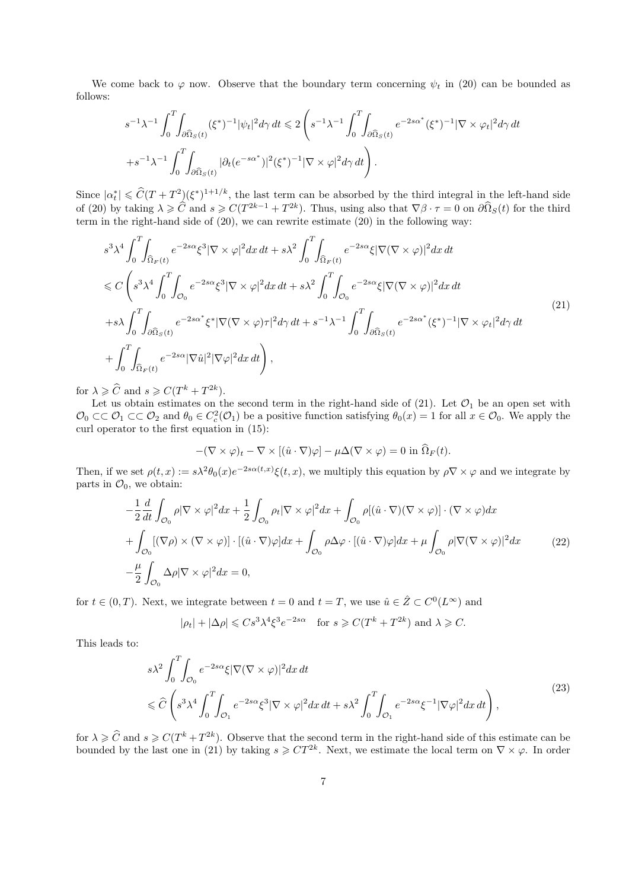We come back to  $\varphi$  now. Observe that the boundary term concerning  $\psi_t$  in (20) can be bounded as follows:

$$
s^{-1}\lambda^{-1}\int_0^T \int_{\partial \widehat{\Omega}_S(t)} (\xi^*)^{-1} |\psi_t|^2 d\gamma dt \leq 2 \left( s^{-1}\lambda^{-1} \int_0^T \int_{\partial \widehat{\Omega}_S(t)} e^{-2s\alpha^*} (\xi^*)^{-1} |\nabla \times \varphi_t|^2 d\gamma dt \right. \left. + s^{-1}\lambda^{-1} \int_0^T \int_{\partial \widehat{\Omega}_S(t)} |\partial_t (e^{-s\alpha^*})|^2 (\xi^*)^{-1} |\nabla \times \varphi|^2 d\gamma dt \right).
$$

Since  $|\alpha_t^*| \leq \widehat{C}(T+T^2)(\xi^*)^{1+1/k}$ , the last term can be absorbed by the third integral in the left-hand side of (20) by taking  $\lambda \geqslant \widehat{C}$  and  $s \geqslant C(T^{2k-1} + T^{2k})$ . Thus, using also that  $\nabla \beta \cdot \tau = 0$  on  $\partial \widehat{\Omega}_S(t)$  for the third term in the right-hand side of (20), we can rewrite estimate (20) in the following way:

$$
s^{3}\lambda^{4}\int_{0}^{T}\int_{\widehat{\Omega}_{F}(t)}e^{-2s\alpha}\xi^{3}|\nabla\times\varphi|^{2}dx dt+s\lambda^{2}\int_{0}^{T}\int_{\widehat{\Omega}_{F}(t)}e^{-2s\alpha}\xi|\nabla(\nabla\times\varphi)|^{2}dx dt\n\leq C\left(s^{3}\lambda^{4}\int_{0}^{T}\int_{\mathcal{O}_{0}}e^{-2s\alpha}\xi^{3}|\nabla\times\varphi|^{2}dx dt+s\lambda^{2}\int_{0}^{T}\int_{\mathcal{O}_{0}}e^{-2s\alpha}\xi|\nabla(\nabla\times\varphi)|^{2}dx dt+s\lambda\int_{0}^{T}\int_{\partial\widehat{\Omega}_{S}(t)}e^{-2s\alpha^{*}}\xi^{*}|\nabla(\nabla\times\varphi)\tau|^{2}d\gamma dt+s^{-1}\lambda^{-1}\int_{0}^{T}\int_{\partial\widehat{\Omega}_{S}(t)}e^{-2s\alpha^{*}}(\xi^{*})^{-1}|\nabla\times\varphi_{t}|^{2}d\gamma dt
$$
\n
$$
+\int_{0}^{T}\int_{\widehat{\Omega}_{F}(t)}e^{-2s\alpha}|\nabla\hat{u}|^{2}|\nabla\varphi|^{2}dx dt\right),
$$
\n(21)

for  $\lambda \geqslant \widehat{C}$  and  $s \geqslant C(T^k + T^{2k}).$ 

Let us obtain estimates on the second term in the right-hand side of  $(21)$ . Let  $\mathcal{O}_1$  be an open set with  $\mathcal{O}_0 \subset\subset \mathcal{O}_1 \subset\subset \mathcal{O}_2$  and  $\theta_0 \in C_c^2(\mathcal{O}_1)$  be a positive function satisfying  $\theta_0(x) = 1$  for all  $x \in \mathcal{O}_0$ . We apply the curl operator to the first equation in (15):

$$
-(\nabla \times \varphi)_t - \nabla \times [(\hat{u} \cdot \nabla)\varphi] - \mu \Delta(\nabla \times \varphi) = 0 \text{ in } \widehat{\Omega}_F(t).
$$

Then, if we set  $\rho(t, x) := s\lambda^2 \theta_0(x) e^{-2s\alpha(t, x)} \xi(t, x)$ , we multiply this equation by  $\rho \nabla \times \varphi$  and we integrate by parts in  $\mathcal{O}_0$ , we obtain:

$$
-\frac{1}{2}\frac{d}{dt}\int_{\mathcal{O}_{0}}\rho|\nabla\times\varphi|^{2}dx + \frac{1}{2}\int_{\mathcal{O}_{0}}\rho_{t}|\nabla\times\varphi|^{2}dx + \int_{\mathcal{O}_{0}}\rho[(\hat{u}\cdot\nabla)(\nabla\times\varphi)]\cdot(\nabla\times\varphi)dx + \int_{\mathcal{O}_{0}}[(\nabla\rho)\times(\nabla\times\varphi)]\cdot[(\hat{u}\cdot\nabla)\varphi]dx + \int_{\mathcal{O}_{0}}\rho\Delta\varphi\cdot[(\hat{u}\cdot\nabla)\varphi]dx + \mu\int_{\mathcal{O}_{0}}\rho|\nabla(\nabla\times\varphi)|^{2}dx \qquad (22)
$$
  
-  $\frac{\mu}{2}\int_{\mathcal{O}_{0}}\Delta\rho|\nabla\times\varphi|^{2}dx = 0,$ 

for  $t \in (0,T)$ . Next, we integrate between  $t = 0$  and  $t = T$ , we use  $\hat{u} \in \hat{Z} \subset C^0(L^\infty)$  and

$$
|\rho_t| + |\Delta \rho| \leq C s^3 \lambda^4 \xi^3 e^{-2s\alpha}
$$
 for  $s \geq C(T^k + T^{2k})$  and  $\lambda \geq C$ .

This leads to:

$$
s\lambda^{2} \int_{0}^{T} \int_{\mathcal{O}_{0}} e^{-2s\alpha} \xi |\nabla(\nabla \times \varphi)|^{2} dx dt
$$
  

$$
\leq \widehat{C} \left( s^{3} \lambda^{4} \int_{0}^{T} \int_{\mathcal{O}_{1}} e^{-2s\alpha} \xi^{3} |\nabla \times \varphi|^{2} dx dt + s\lambda^{2} \int_{0}^{T} \int_{\mathcal{O}_{1}} e^{-2s\alpha} \xi^{-1} |\nabla \varphi|^{2} dx dt \right), \tag{23}
$$

for  $\lambda \geqslant \widehat{C}$  and  $s \geqslant C(T^k + T^{2k})$ . Observe that the second term in the right-hand side of this estimate can be bounded by the last one in (21) by taking  $s \geqslant C T^{2k}$ . Next, we estimate the local term on  $\nabla \times \varphi$ . In order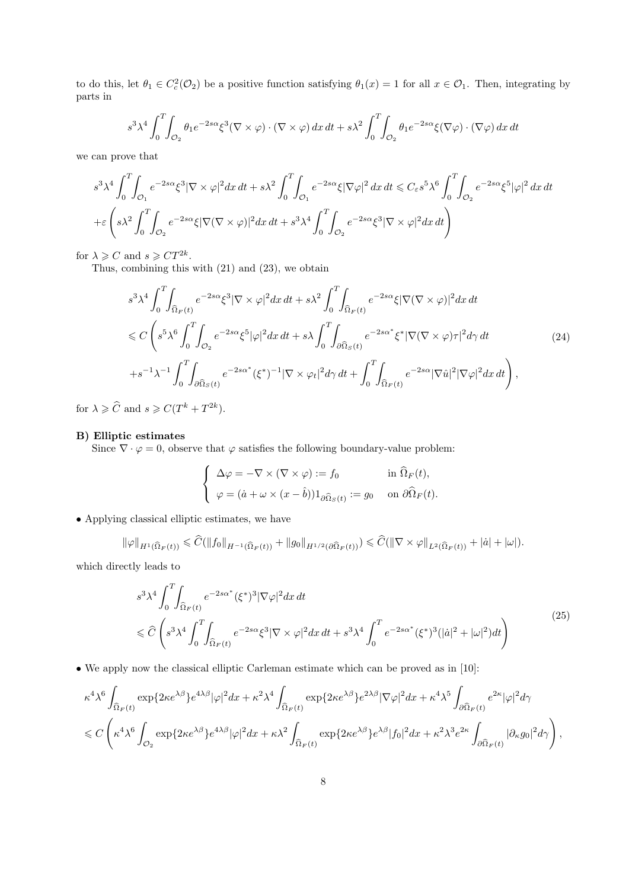to do this, let  $\theta_1 \in C_c^2(\mathcal{O}_2)$  be a positive function satisfying  $\theta_1(x) = 1$  for all  $x \in \mathcal{O}_1$ . Then, integrating by parts in

$$
s^3 \lambda^4 \int_0^T \int_{\mathcal{O}_2} \theta_1 e^{-2s\alpha} \xi^3 (\nabla \times \varphi) \cdot (\nabla \times \varphi) \, dx \, dt + s \lambda^2 \int_0^T \int_{\mathcal{O}_2} \theta_1 e^{-2s\alpha} \xi (\nabla \varphi) \cdot (\nabla \varphi) \, dx \, dt
$$

we can prove that

$$
s^3 \lambda^4 \int_0^T \int_{\mathcal{O}_1} e^{-2s\alpha} \xi^3 |\nabla \times \varphi|^2 dx dt + s\lambda^2 \int_0^T \int_{\mathcal{O}_1} e^{-2s\alpha} \xi |\nabla \varphi|^2 dx dt \leq C_{\varepsilon} s^5 \lambda^6 \int_0^T \int_{\mathcal{O}_2} e^{-2s\alpha} \xi^5 |\varphi|^2 dx dt
$$
  
+
$$
\varepsilon \left( s\lambda^2 \int_0^T \int_{\mathcal{O}_2} e^{-2s\alpha} \xi |\nabla (\nabla \times \varphi)|^2 dx dt + s^3 \lambda^4 \int_0^T \int_{\mathcal{O}_2} e^{-2s\alpha} \xi^3 |\nabla \times \varphi|^2 dx dt \right)
$$

for  $\lambda \geqslant C$  and  $s \geqslant C T^{2k}$ .

Thus, combining this with (21) and (23), we obtain

$$
s^{3} \lambda^{4} \int_{0}^{T} \int_{\widehat{\Omega}_{F}(t)} e^{-2s\alpha} \xi^{3} |\nabla \times \varphi|^{2} dx dt + s \lambda^{2} \int_{0}^{T} \int_{\widehat{\Omega}_{F}(t)} e^{-2s\alpha} \xi |\nabla (\nabla \times \varphi)|^{2} dx dt
$$
  
\n
$$
\leq C \left( s^{5} \lambda^{6} \int_{0}^{T} \int_{\mathcal{O}_{2}} e^{-2s\alpha} \xi^{5} |\varphi|^{2} dx dt + s \lambda \int_{0}^{T} \int_{\partial \widehat{\Omega}_{S}(t)} e^{-2s\alpha^{*}} \xi^{*} |\nabla (\nabla \times \varphi) \tau|^{2} d\gamma dt \qquad (24)
$$
  
\n
$$
+ s^{-1} \lambda^{-1} \int_{0}^{T} \int_{\partial \widehat{\Omega}_{S}(t)} e^{-2s\alpha^{*}} (\xi^{*})^{-1} |\nabla \times \varphi_{t}|^{2} d\gamma dt + \int_{0}^{T} \int_{\widehat{\Omega}_{F}(t)} e^{-2s\alpha} |\nabla \widehat{u}|^{2} |\nabla \varphi|^{2} dx dt \right),
$$

for  $\lambda \geqslant \widehat{C}$  and  $s \geqslant C(T^k + T^{2k}).$ 

#### B) Elliptic estimates

Since  $\nabla \cdot \varphi = 0$ , observe that  $\varphi$  satisfies the following boundary-value problem:

$$
\begin{cases}\n\Delta \varphi = -\nabla \times (\nabla \times \varphi) := f_0 & \text{in } \hat{\Omega}_F(t), \\
\varphi = (\dot{a} + \omega \times (x - \hat{b})) 1_{\partial \hat{\Omega}_S(t)} := g_0 & \text{on } \partial \hat{\Omega}_F(t).\n\end{cases}
$$

• Applying classical elliptic estimates, we have

$$
\|\varphi\|_{H^1(\widehat{\Omega}_F(t))} \leq \widehat{C}(\|f_0\|_{H^{-1}(\widehat{\Omega}_F(t))} + \|g_0\|_{H^{1/2}(\partial \widehat{\Omega}_F(t))}) \leq \widehat{C}(\|\nabla \times \varphi\|_{L^2(\widehat{\Omega}_F(t))} + |\dot{a}| + |\omega|).
$$

which directly leads to

$$
s^3 \lambda^4 \int_0^T \int_{\widehat{\Omega}_F(t)} e^{-2s\alpha^*} (\xi^*)^3 |\nabla \varphi|^2 dx dt
$$
  
\$\leq \widehat{C} \left( s^3 \lambda^4 \int\_0^T \int\_{\widehat{\Omega}\_F(t)} e^{-2s\alpha} \xi^3 |\nabla \times \varphi|^2 dx dt + s^3 \lambda^4 \int\_0^T e^{-2s\alpha^\*} (\xi^\*)^3 (|\dot{a}|^2 + |\omega|^2) dt \right)\$ (25)

• We apply now the classical elliptic Carleman estimate which can be proved as in [10]:

$$
\begin{split} &\kappa^4\lambda^6\int_{\widehat{\Omega}_F(t)}\exp\{2\kappa e^{\lambda\beta}\}e^{4\lambda\beta}|\varphi|^2dx+\kappa^2\lambda^4\int_{\widehat{\Omega}_F(t)}\exp\{2\kappa e^{\lambda\beta}\}e^{2\lambda\beta}|\nabla\varphi|^2dx+\kappa^4\lambda^5\int_{\partial\widehat{\Omega}_F(t)}e^{2\kappa}|\varphi|^2d\gamma\\ &\leqslant C\left(\kappa^4\lambda^6\int_{\mathcal{O}_2}\exp\{2\kappa e^{\lambda\beta}\}e^{4\lambda\beta}|\varphi|^2dx+\kappa\lambda^2\int_{\widehat{\Omega}_F(t)}\exp\{2\kappa e^{\lambda\beta}\}e^{\lambda\beta}|f_0|^2dx+\kappa^2\lambda^3e^{2\kappa}\int_{\partial\widehat{\Omega}_F(t)}|\partial_\kappa g_0|^2d\gamma\right), \end{split}
$$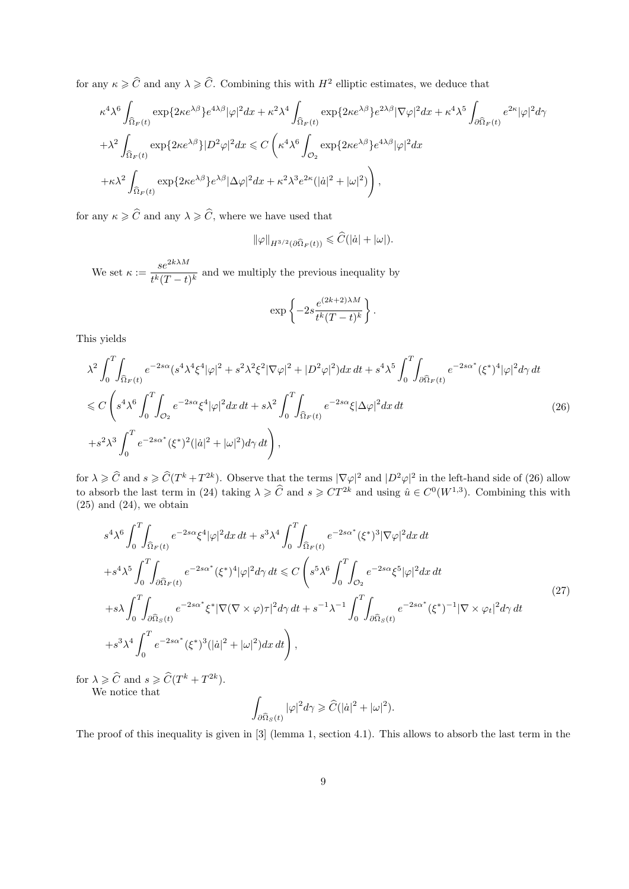for any  $\kappa \geqslant \widehat{C}$  and any  $\lambda \geqslant \widehat{C}$ . Combining this with  $H^2$  elliptic estimates, we deduce that

$$
\kappa^4 \lambda^6 \int_{\widehat{\Omega}_F(t)} \exp\{2\kappa e^{\lambda \beta}\} e^{4\lambda \beta} |\varphi|^2 dx + \kappa^2 \lambda^4 \int_{\widehat{\Omega}_F(t)} \exp\{2\kappa e^{\lambda \beta}\} e^{2\lambda \beta} |\nabla \varphi|^2 dx + \kappa^4 \lambda^5 \int_{\partial \widehat{\Omega}_F(t)} e^{2\kappa} |\varphi|^2 d\gamma
$$
  
+ 
$$
\lambda^2 \int_{\widehat{\Omega}_F(t)} \exp\{2\kappa e^{\lambda \beta}\} |D^2 \varphi|^2 dx \leq C \left(\kappa^4 \lambda^6 \int_{\mathcal{O}_2} \exp\{2\kappa e^{\lambda \beta}\} e^{4\lambda \beta} |\varphi|^2 dx
$$
  
+ 
$$
\kappa \lambda^2 \int_{\widehat{\Omega}_F(t)} \exp\{2\kappa e^{\lambda \beta}\} e^{\lambda \beta} |\Delta \varphi|^2 dx + \kappa^2 \lambda^3 e^{2\kappa} (|\dot{a}|^2 + |\omega|^2) \right),
$$

for any  $\kappa \geqslant \widehat{C}$  and any  $\lambda \geqslant \widehat{C}$ , where we have used that

$$
\|\varphi\|_{H^{3/2}(\partial\widehat{\Omega}_F(t))} \leqslant \widehat{C}(|\dot{a}|+|\omega|).
$$

We set  $\kappa := \frac{se^{2k\lambda M}}{s^k(T-1)}$  $\frac{\partial c}{\partial t^k(T-t)^k}$  and we multiply the previous inequality by

$$
\exp\left\{-2s\frac{e^{(2k+2)\lambda M}}{t^k(T-t)^k}\right\}.
$$

This yields

$$
\lambda^{2} \int_{0}^{T} \int_{\widehat{\Omega}_{F}(t)} e^{-2s\alpha} (s^{4} \lambda^{4} \xi^{4} |\varphi|^{2} + s^{2} \lambda^{2} \xi^{2} |\nabla \varphi|^{2} + |D^{2} \varphi|^{2}) dx dt + s^{4} \lambda^{5} \int_{0}^{T} \int_{\partial \widehat{\Omega}_{F}(t)} e^{-2s\alpha^{*}} (\xi^{*})^{4} |\varphi|^{2} d\gamma dt
$$
  
\n
$$
\leq C \left( s^{4} \lambda^{6} \int_{0}^{T} \int_{\mathcal{O}_{2}} e^{-2s\alpha} \xi^{4} |\varphi|^{2} dx dt + s \lambda^{2} \int_{0}^{T} \int_{\widehat{\Omega}_{F}(t)} e^{-2s\alpha} \xi |\Delta \varphi|^{2} dx dt + s^{4} \lambda^{5} \int_{0}^{T} \int_{\partial \widehat{\Omega}_{F}(t)} e^{-2s\alpha^{*}} (\xi^{*})^{2} (|\dot{a}|^{2} + |\omega|^{2}) d\gamma dt \right), \tag{26}
$$

for  $\lambda \geq \widehat{C}$  and  $s \geq \widehat{C}(T^k + T^{2k})$ . Observe that the terms  $|\nabla \varphi|^2$  and  $|D^2\varphi|^2$  in the left-hand side of (26) allow to absorb the last term in (24) taking  $\lambda \geqslant \widehat{C}$  and  $s \geqslant CT^{2k}$  and using  $\hat{u} \in C^{0}(W^{1,3})$ . Combining this with  $(25)$  and  $(24)$ , we obtain

$$
s^{4}\lambda^{6}\int_{0}^{T}\int_{\widehat{\Omega}_{F}(t)}e^{-2s\alpha}\xi^{4}|\varphi|^{2}dx dt+s^{3}\lambda^{4}\int_{0}^{T}\int_{\widehat{\Omega}_{F}(t)}e^{-2s\alpha^{*}}(\xi^{*})^{3}|\nabla\varphi|^{2}dx dt+s^{4}\lambda^{5}\int_{0}^{T}\int_{\partial\widehat{\Omega}_{F}(t)}e^{-2s\alpha^{*}}(\xi^{*})^{4}|\varphi|^{2}d\gamma dt\leq C\left(s^{5}\lambda^{6}\int_{0}^{T}\int_{\mathcal{O}_{2}}e^{-2s\alpha}\xi^{5}|\varphi|^{2}dx dt+s\lambda\int_{0}^{T}\int_{\partial\widehat{\Omega}_{S}(t)}e^{-2s\alpha^{*}}\xi^{*}|\nabla(\nabla\times\varphi)\tau|^{2}d\gamma dt+s^{-1}\lambda^{-1}\int_{0}^{T}\int_{\partial\widehat{\Omega}_{S}(t)}e^{-2s\alpha^{*}}(\xi^{*})^{-1}|\nabla\times\varphi_{t}|^{2}d\gamma dt
$$
\n
$$
+s^{3}\lambda^{4}\int_{0}^{T}e^{-2s\alpha^{*}}(\xi^{*})^{3}(|\dot{a}|^{2}+|\omega|^{2})dx dt\right), \qquad (27)
$$

for  $\lambda \geqslant \widehat{C}$  and  $s \geqslant \widehat{C}(T^k + T^{2k}).$ 

We notice that

$$
\int_{\partial \widehat{\Omega}_S(t)} |\varphi|^2 d\gamma \geqslant \widehat{C}(|\dot{a}|^2 + |\omega|^2).
$$

The proof of this inequality is given in [3] (lemma 1, section 4.1). This allows to absorb the last term in the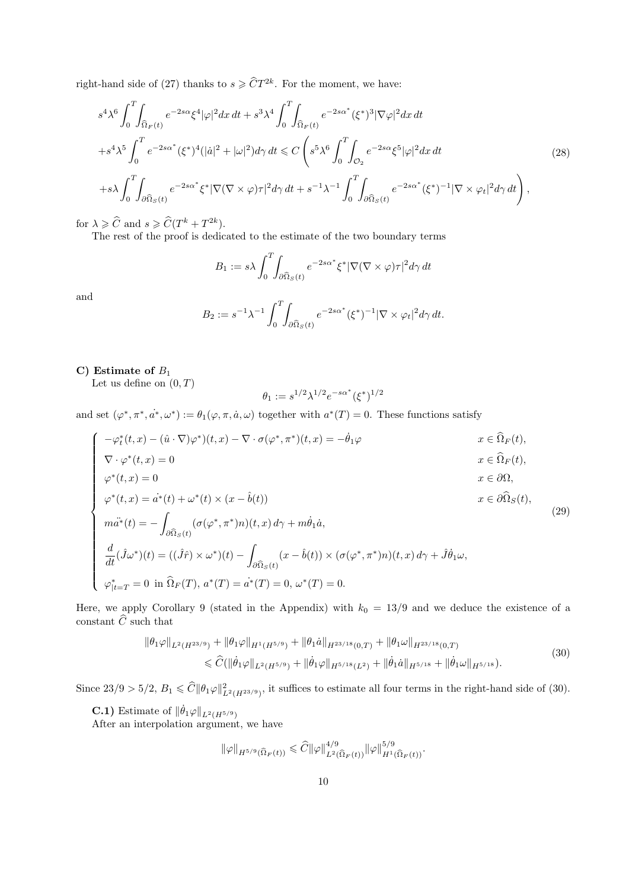right-hand side of (27) thanks to  $s \geq \widehat{C}T^{2k}$ . For the moment, we have:

$$
s^{4}\lambda^{6}\int_{0}^{T}\int_{\widehat{\Omega}_{F}(t)}e^{-2s\alpha}\xi^{4}|\varphi|^{2}dx dt + s^{3}\lambda^{4}\int_{0}^{T}\int_{\widehat{\Omega}_{F}(t)}e^{-2s\alpha^{*}}(\xi^{*})^{3}|\nabla\varphi|^{2}dx dt +s^{4}\lambda^{5}\int_{0}^{T}e^{-2s\alpha^{*}}(\xi^{*})^{4}(|\dot{a}|^{2}+|\omega|^{2})d\gamma dt \leq C\left(s^{5}\lambda^{6}\int_{0}^{T}\int_{\mathcal{O}_{2}}e^{-2s\alpha}\xi^{5}|\varphi|^{2}dx dt +s\lambda\int_{0}^{T}\int_{\partial\widehat{\Omega}_{S}(t)}e^{-2s\alpha^{*}}\xi^{*}|\nabla(\nabla\times\varphi)\tau|^{2}d\gamma dt + s^{-1}\lambda^{-1}\int_{0}^{T}\int_{\partial\widehat{\Omega}_{S}(t)}e^{-2s\alpha^{*}}(\xi^{*})^{-1}|\nabla\times\varphi_{t}|^{2}d\gamma dt\right),
$$
\n(28)

for  $\lambda \geqslant \widehat{C}$  and  $s \geqslant \widehat{C}(T^k + T^{2k}).$ 

The rest of the proof is dedicated to the estimate of the two boundary terms

$$
B_1 := s\lambda \int_0^T \int_{\partial \widehat{\Omega}_S(t)} e^{-2s\alpha^*} \xi^* |\nabla (\nabla \times \varphi)\tau|^2 d\gamma dt
$$

and

$$
B_2 := s^{-1} \lambda^{-1} \int_0^T \int_{\partial \widehat{\Omega}_S(t)} e^{-2s\alpha^*} (\xi^*)^{-1} |\nabla \times \varphi_t|^2 d\gamma dt.
$$

### C) Estimate of  $B_1$

Let us define on  $(0,T)$ 

$$
\theta_1:=s^{1/2}\lambda^{1/2}e^{-s\alpha^*}(\xi^*)^{1/2}
$$

and set  $(\varphi^*, \pi^*, a^*, \omega^*) := \theta_1(\varphi, \pi, a, \omega)$  together with  $a^*(T) = 0$ . These functions satisfy

$$
\begin{cases}\n-\varphi_t^*(t,x) - (\hat{u} \cdot \nabla)\varphi^*)(t,x) - \nabla \cdot \sigma(\varphi^*, \pi^*)(t,x) = -\dot{\theta}_1 \varphi & x \in \hat{\Omega}_F(t), \\
\nabla \cdot \varphi^*(t,x) = 0 & x \in \hat{\Omega}_F(t), \\
\varphi^*(t,x) = 0 & x \in \partial\Omega, \\
\varphi^*(t,x) = a^*(t) + \omega^*(t) \times (x - \hat{b}(t)) & x \in \partial\hat{\Omega}_S(t), \\
\end{cases}
$$
\n(20)

$$
\varphi^*(t, x) = \dot{a}^*(t) + \omega^*(t) \times (x - \hat{b}(t))
$$
  
\n
$$
m\ddot{a}^*(t) = -\int (\sigma(\varphi^*, \pi^*)n)(t, x) d\gamma + m\dot{\theta}_1 \dot{a},
$$
  
\n(29)

$$
\begin{cases}\nma^*(t) = -\int_{\partial \widehat{\Omega}_S(t)} (\sigma(\varphi^*, \pi^*)n)(t, x) d\gamma + m\theta_1 a, \\
\frac{d}{dt}(\hat{J}\omega^*)(t) = ((\hat{J}\hat{r}) \times \omega^*)(t) - \int_{\partial \widehat{\Omega}_S(t)} (x - \hat{b}(t)) \times (\sigma(\varphi^*, \pi^*)n)(t, x) d\gamma + \hat{J}\dot{\theta}_1 \omega, \\
\varphi^*_{|t=T} = 0 \text{ in } \widehat{\Omega}_F(T), a^*(T) = a^*(T) = 0, \omega^*(T) = 0.\n\end{cases}
$$

Here, we apply Corollary 9 (stated in the Appendix) with  $k_0 = 13/9$  and we deduce the existence of a constant  $\widehat{C}$  such that

$$
\|\theta_1\varphi\|_{L^2(H^{23/9})} + \|\theta_1\varphi\|_{H^1(H^{5/9})} + \|\theta_1\dot{a}\|_{H^{23/18}(0,T)} + \|\theta_1\omega\|_{H^{23/18}(0,T)}
$$
  
\$\leq \widehat{C}(\|\dot{\theta}\_1\varphi\|\_{L^2(H^{5/9})} + \|\dot{\theta}\_1\varphi\|\_{H^{5/18}(L^2)} + \|\dot{\theta}\_1\dot{a}\|\_{H^{5/18}} + \|\dot{\theta}\_1\omega\|\_{H^{5/18}}). \tag{30}

Since  $23/9 > 5/2$ ,  $B_1 \leq \hat{C} \|\theta_1 \varphi\|_{L^2(H^{23/9})}^2$ , it suffices to estimate all four terms in the right-hand side of (30).

**C.1)** Estimate of  $\|\dot{\theta}_1\varphi\|_{L^2(H^{5/9})}$ 

After an interpolation argument, we have

$$
\|\varphi\|_{H^{5/9}(\widehat{\Omega}_F(t))} \leq \widehat{C} \|\varphi\|_{L^2(\widehat{\Omega}_F(t))}^{4/9} \|\varphi\|_{H^1(\widehat{\Omega}_F(t))}^{5/9}.
$$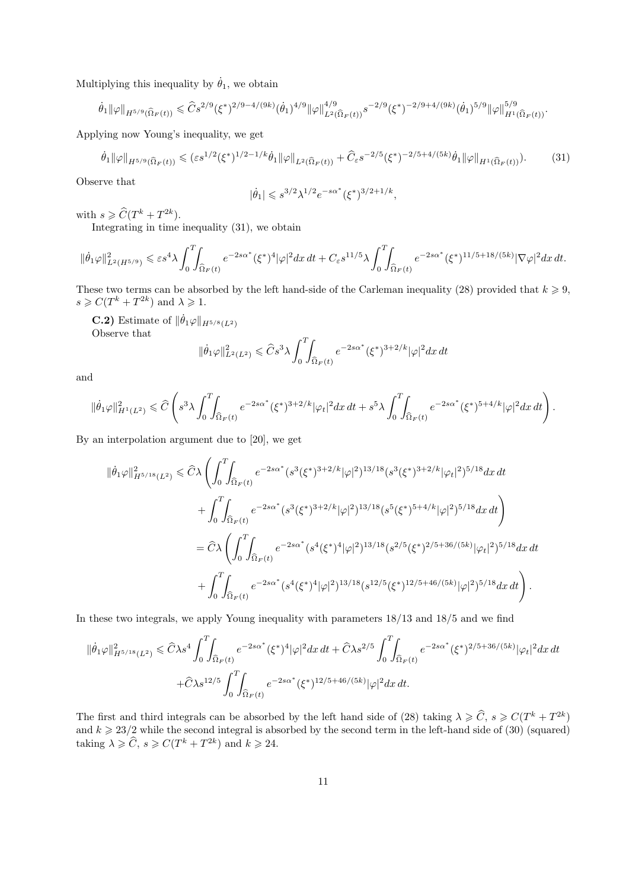Multiplying this inequality by  $\dot{\theta}_1$ , we obtain

$$
\dot{\theta}_1\|\varphi\|_{H^{5/9}(\widehat{\Omega}_F(t))}\leqslant \widehat{C}s^{2/9}(\xi^*)^{2/9-4/(9k)}(\dot{\theta}_1)^{4/9}\|\varphi\|_{L^2(\widehat{\Omega}_F(t))}^{4/9}s^{-2/9}(\xi^*)^{-2/9+4/(9k)}(\dot{\theta}_1)^{5/9}\|\varphi\|_{H^1(\widehat{\Omega}_F(t))}^{5/9}.
$$

Applying now Young's inequality, we get

$$
\dot{\theta}_1 \|\varphi\|_{H^{5/9}(\hat{\Omega}_F(t))} \le (\varepsilon s^{1/2} (\xi^*)^{1/2 - 1/k} \dot{\theta}_1 \|\varphi\|_{L^2(\hat{\Omega}_F(t))} + \hat{C}_\varepsilon s^{-2/5} (\xi^*)^{-2/5 + 4/(5k)} \dot{\theta}_1 \|\varphi\|_{H^1(\hat{\Omega}_F(t))}).\tag{31}
$$

Observe that

$$
|\dot{\theta}_1| \leqslant s^{3/2} \lambda^{1/2} e^{-s \alpha^*} (\xi^*)^{3/2 + 1/k},
$$

with  $s \geqslant \widehat{C}(T^k + T^{2k}).$ 

Integrating in time inequality (31), we obtain

$$
\|\dot{\theta}_1\varphi\|_{L^2(H^{5/9})}^2 \leqslant \varepsilon s^4\lambda \int_0^T \int_{\widehat{\Omega}_F(t)} e^{-2s\alpha^*} (\xi^*)^4 |\varphi|^2 dx\,dt + C_\varepsilon s^{11/5}\lambda \int_0^T \int_{\widehat{\Omega}_F(t)} e^{-2s\alpha^*} (\xi^*)^{11/5+18/(5k)} |\nabla \varphi|^2 dx\,dt.
$$

These two terms can be absorbed by the left hand-side of the Carleman inequality (28) provided that  $k \geq 9$ ,  $s \geqslant C(T^k + T^{2k})$  and  $\lambda \geqslant 1$ .

**C.2)** Estimate of  $\|\dot{\theta}_1\varphi\|_{H^{5/8}(L^2)}$ Observe that

$$
\|\dot{\theta}_1\varphi\|_{L^2(L^2)}^2 \leqslant \widehat{C}s^3\lambda \int_0^T \int_{\widehat{\Omega}_F(t)} e^{-2s\alpha^*} (\xi^*)^{3+2/k} |\varphi|^2 dx dt
$$

and

$$
\|\dot{\theta}_1\varphi\|_{H^1(L^2)}^2 \leqslant \widehat{C} \left( s^3 \lambda \int_0^T \!\!\!\int_{\widehat{\Omega}_F(t)} e^{-2s\alpha^*} (\xi^*)^{3+2/k} |\varphi_t|^2 dx\,dt + s^5 \lambda \int_0^T \!\!\!\int_{\widehat{\Omega}_F(t)} e^{-2s\alpha^*} (\xi^*)^{5+4/k} |\varphi|^2 dx\,dt \right).
$$

By an interpolation argument due to [20], we get

$$
\begin{split} \|\dot{\theta}_{1}\varphi\|_{H^{5/18}(L^{2})}^{2} &\leq \hat{C}\lambda\left(\int_{0}^{T}\!\!\!\int_{\widehat{\Omega}_{F}(t)}e^{-2s\alpha^{*}}(s^{3}(\xi^{*})^{3+2/k}|\varphi|^{2})^{13/18}(s^{3}(\xi^{*})^{3+2/k}|\varphi_{t}|^{2})^{5/18}dx\,dt\right.\\ &\left.+\int_{0}^{T}\!\!\!\int_{\widehat{\Omega}_{F}(t)}e^{-2s\alpha^{*}}(s^{3}(\xi^{*})^{3+2/k}|\varphi|^{2})^{13/18}(s^{5}(\xi^{*})^{5+4/k}|\varphi|^{2})^{5/18}dx\,dt\right)\\ &=\hat{C}\lambda\left(\int_{0}^{T}\!\!\!\int_{\widehat{\Omega}_{F}(t)}e^{-2s\alpha^{*}}(s^{4}(\xi^{*})^{4}|\varphi|^{2})^{13/18}(s^{2/5}(\xi^{*})^{2/5+36/(5k)}|\varphi_{t}|^{2})^{5/18}dx\,dt\right.\\ &\left.+\int_{0}^{T}\!\!\!\int_{\widehat{\Omega}_{F}(t)}e^{-2s\alpha^{*}}(s^{4}(\xi^{*})^{4}|\varphi|^{2})^{13/18}(s^{12/5}(\xi^{*})^{12/5+46/(5k)}|\varphi|^{2})^{5/18}dx\,dt\right). \end{split}
$$

In these two integrals, we apply Young inequality with parameters 18/13 and 18/5 and we find

$$
\|\dot{\theta}_{1}\varphi\|_{H^{5/18}(L^{2})}^{2} \leq \widehat{C}\lambda s^{4} \int_{0}^{T} \int_{\widehat{\Omega}_{F}(t)} e^{-2s\alpha^{*}} (\xi^{*})^{4} |\varphi|^{2} dx dt + \widehat{C}\lambda s^{2/5} \int_{0}^{T} \int_{\widehat{\Omega}_{F}(t)} e^{-2s\alpha^{*}} (\xi^{*})^{2/5+36/(5k)} |\varphi_{t}|^{2} dx dt
$$
  
+ $\widehat{C}\lambda s^{12/5} \int_{0}^{T} \int_{\widehat{\Omega}_{F}(t)} e^{-2s\alpha^{*}} (\xi^{*})^{12/5+46/(5k)} |\varphi|^{2} dx dt.$ 

The first and third integrals can be absorbed by the left hand side of (28) taking  $\lambda \geqslant C$ ,  $s \geqslant C(T^k + T^{2k})$ and  $k \geq 23/2$  while the second integral is absorbed by the second term in the left-hand side of (30) (squared) taking  $\lambda \geqslant \widehat{C}$ ,  $s \geqslant C(T^k + T^{2k})$  and  $k \geqslant 24$ .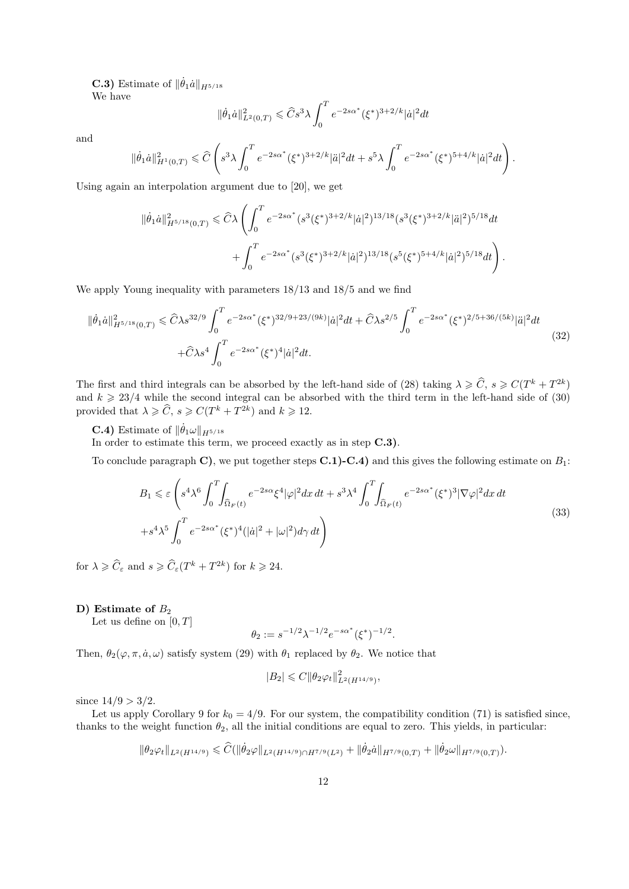**C.3**) Estimate of  $\|\dot{\theta}_1\dot{a}\|_{H^{5/18}}$ We have

$$
\|\dot{\theta}_1\dot{a}\|^2_{L^2(0,T)} \leqslant \hat{C} s^3 \lambda \int_0^T e^{-2s\alpha^*} (\xi^*)^{3+2/k} |\dot{a}|^2 dt
$$

and

$$
\|\dot{\theta}_1\dot{a}\|^2_{H^1(0,T)}\leqslant \widehat{C}\left(s^3\lambda\int_0^Te^{-2s\alpha^*}(\xi^*)^{3+2/k}|\ddot{a}|^2dt+s^5\lambda\int_0^Te^{-2s\alpha^*}(\xi^*)^{5+4/k}|\dot{a}|^2dt\right).
$$

Using again an interpolation argument due to [20], we get

$$
\begin{split} \|\dot{\theta}_{1}\dot{a}\|_{H^{5/18}(0,T)}^{2} &\leq \widehat{C}\lambda \left( \int_{0}^{T} e^{-2s\alpha^{*}} (s^{3}(\xi^{*})^{3+2/k}|\dot{a}|^{2})^{13/18} (s^{3}(\xi^{*})^{3+2/k}|\ddot{a}|^{2})^{5/18} dt \\ &+ \int_{0}^{T} e^{-2s\alpha^{*}} (s^{3}(\xi^{*})^{3+2/k}|\dot{a}|^{2})^{13/18} (s^{5}(\xi^{*})^{5+4/k}|\dot{a}|^{2})^{5/18} dt \right). \end{split}
$$

We apply Young inequality with parameters 18/13 and 18/5 and we find

$$
\|\dot{\theta}_{1}\dot{a}\|_{H^{5/18}(0,T)}^{2} \leq \hat{C}\lambda s^{32/9} \int_{0}^{T} e^{-2s\alpha^{*}} (\xi^{*})^{32/9+23/(9k)} |\dot{a}|^{2} dt + \hat{C}\lambda s^{2/5} \int_{0}^{T} e^{-2s\alpha^{*}} (\xi^{*})^{2/5+36/(5k)} |\ddot{a}|^{2} dt
$$
  
+ $\hat{C}\lambda s^{4} \int_{0}^{T} e^{-2s\alpha^{*}} (\xi^{*})^{4} |\dot{a}|^{2} dt.$  (32)

The first and third integrals can be absorbed by the left-hand side of (28) taking  $\lambda \geqslant \widehat{C}$ ,  $s \geqslant C(T^k + T^{2k})$ and  $k \geq 23/4$  while the second integral can be absorbed with the third term in the left-hand side of (30) provided that  $\lambda \geqslant \widehat{C}$ ,  $s \geqslant C(T^k + T^{2k})$  and  $k \geqslant 12$ .

**C.4)** Estimate of  $\|\dot{\theta}_1 \omega\|_{H^{5/18}}$ 

In order to estimate this term, we proceed exactly as in step  $C.3$ ).

To conclude paragraph C), we put together steps  $C.1$ )-C.4) and this gives the following estimate on  $B_1$ :

$$
B_1 \leqslant \varepsilon \left( s^4 \lambda^6 \int_0^T \int_{\Omega_F(t)} e^{-2s\alpha} \xi^4 |\varphi|^2 dx \, dt + s^3 \lambda^4 \int_0^T \int_{\Omega_F(t)} e^{-2s\alpha^*} (\xi^*)^3 |\nabla \varphi|^2 dx \, dt + s^4 \lambda^5 \int_0^T e^{-2s\alpha^*} (\xi^*)^4 (|\dot{a}|^2 + |\omega|^2) d\gamma \, dt \right)
$$
\n
$$
(33)
$$

for  $\lambda \geqslant \widehat{C}_{\varepsilon}$  and  $s \geqslant \widehat{C}_{\varepsilon}(T^k + T^{2k})$  for  $k \geqslant 24$ .

#### D) Estimate of  $B_2$

Let us define on  $[0, T]$ 

$$
\theta_2 := s^{-1/2} \lambda^{-1/2} e^{-s \alpha^*} (\xi^*)^{-1/2}.
$$

Then,  $\theta_2(\varphi, \pi, \dot{a}, \omega)$  satisfy system (29) with  $\theta_1$  replaced by  $\theta_2$ . We notice that

$$
|B_2| \leqslant C \|\theta_2 \varphi_t\|_{L^2(H^{14/9})}^2,
$$

since  $14/9 > 3/2$ .

Let us apply Corollary 9 for  $k_0 = 4/9$ . For our system, the compatibility condition (71) is satisfied since, thanks to the weight function  $\theta_2$ , all the initial conditions are equal to zero. This yields, in particular:

$$
\|\theta_2\varphi_t\|_{L^2(H^{14/9})} \leq \widehat{C}(\|\dot{\theta}_2\varphi\|_{L^2(H^{14/9})\cap H^{7/9}(L^2)} + \|\dot{\theta}_2\dot{a}\|_{H^{7/9}(0,T)} + \|\dot{\theta}_2\omega\|_{H^{7/9}(0,T)}).
$$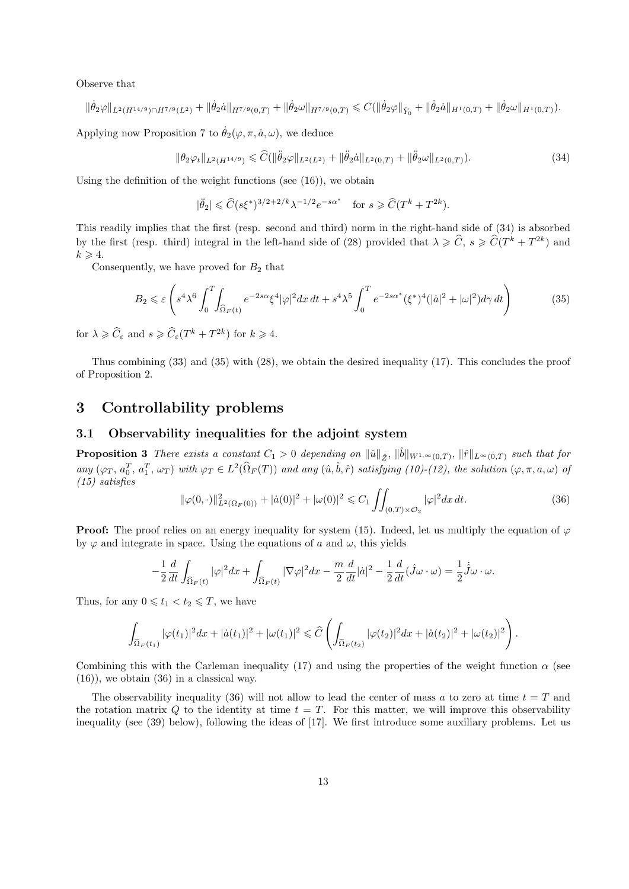Observe that

$$
\|\dot{\theta}_2\varphi\|_{L^2(H^{14/9})\cap H^{7/9}(L^2)} + \|\dot{\theta}_2\dot{a}\|_{H^{7/9}(0,T)} + \|\dot{\theta}_2\omega\|_{H^{7/9}(0,T)} \leq C(\|\dot{\theta}_2\varphi\|_{\hat{Y}_0} + \|\dot{\theta}_2\dot{a}\|_{H^1(0,T)} + \|\dot{\theta}_2\omega\|_{H^1(0,T)}).
$$

Applying now Proposition 7 to  $\dot{\theta}_2(\varphi, \pi, \dot{a}, \omega)$ , we deduce

$$
\|\theta_2\varphi_t\|_{L^2(H^{14/9})} \leq \widehat{C}(\|\ddot{\theta}_2\varphi\|_{L^2(L^2)} + \|\ddot{\theta}_2\dot{a}\|_{L^2(0,T)} + \|\ddot{\theta}_2\omega\|_{L^2(0,T)}). \tag{34}
$$

Using the definition of the weight functions (see (16)), we obtain

$$
|\ddot{\theta}_2|\leqslant \widehat{C}(s\xi^*)^{3/2+2/k}\lambda^{-1/2}e^{-s\alpha^*}\quad\text{for }s\geqslant \widehat{C}(T^k+T^{2k}).
$$

This readily implies that the first (resp. second and third) norm in the right-hand side of (34) is absorbed by the first (resp. third) integral in the left-hand side of (28) provided that  $\lambda \geqslant \widehat{C}$ ,  $s \geqslant \widehat{C}(T^k + T^{2k})$  and  $k \geqslant 4$ .

Consequently, we have proved for  $B_2$  that

$$
B_2 \leqslant \varepsilon \left( s^4 \lambda^6 \int_0^T \int_{\Omega_F(t)} e^{-2s\alpha} \xi^4 |\varphi|^2 dx \, dt + s^4 \lambda^5 \int_0^T e^{-2s\alpha^*} (\xi^*)^4 (|\dot{a}|^2 + |\omega|^2) d\gamma \, dt \right) \tag{35}
$$

for  $\lambda \geqslant \widehat{C}_{\varepsilon}$  and  $s \geqslant \widehat{C}_{\varepsilon}(T^k + T^{2k})$  for  $k \geqslant 4$ .

Thus combining (33) and (35) with (28), we obtain the desired inequality (17). This concludes the proof of Proposition 2.

# 3 Controllability problems

### 3.1 Observability inequalities for the adjoint system

**Proposition 3** There exists a constant  $C_1 > 0$  depending on  $\|\hat{u}\|_{\hat{Z}}$ ,  $\|\hat{b}\|_{W^{1,\infty}(0,T)}$ ,  $\|\hat{r}\|_{L^{\infty}(0,T)}$  such that for any  $(\varphi_T, a_0^T, a_1^T, \omega_T)$  with  $\varphi_T \in L^2(\widehat{\Omega}_F(T))$  and any  $(\hat{u}, \hat{b}, \hat{r})$  satisfying  $(10)-(12)$ , the solution  $(\varphi, \pi, a, \omega)$  of (15) satisfies

$$
\|\varphi(0,\cdot)\|_{L^2(\Omega_F(0))}^2 + |\dot{a}(0)|^2 + |\omega(0)|^2 \leq C_1 \iint_{(0,T)\times\mathcal{O}_2} |\varphi|^2 dx dt.
$$
 (36)

**Proof:** The proof relies on an energy inequality for system (15). Indeed, let us multiply the equation of  $\varphi$ by  $\varphi$  and integrate in space. Using the equations of a and  $\omega$ , this yields

$$
-\frac{1}{2}\frac{d}{dt}\int_{\widehat{\Omega}_F(t)}|\varphi|^2dx+\int_{\widehat{\Omega}_F(t)}|\nabla\varphi|^2dx-\frac{m}{2}\frac{d}{dt}|\dot{a}|^2-\frac{1}{2}\frac{d}{dt}(\hat{J}\omega\cdot\omega)=\frac{1}{2}\dot{\hat{J}}\omega\cdot\omega.
$$

Thus, for any  $0 \leq t_1 < t_2 \leq T$ , we have

$$
\int_{\widehat{\Omega}_F(t_1)} |\varphi(t_1)|^2 dx + |\dot{a}(t_1)|^2 + |\omega(t_1)|^2 \leq \widehat{C} \left( \int_{\widehat{\Omega}_F(t_2)} |\varphi(t_2)|^2 dx + |\dot{a}(t_2)|^2 + |\omega(t_2)|^2 \right).
$$

Combining this with the Carleman inequality (17) and using the properties of the weight function  $\alpha$  (see  $(16)$ , we obtain  $(36)$  in a classical way.

The observability inequality (36) will not allow to lead the center of mass a to zero at time  $t = T$  and the rotation matrix Q to the identity at time  $t = T$ . For this matter, we will improve this observability inequality (see (39) below), following the ideas of [17]. We first introduce some auxiliary problems. Let us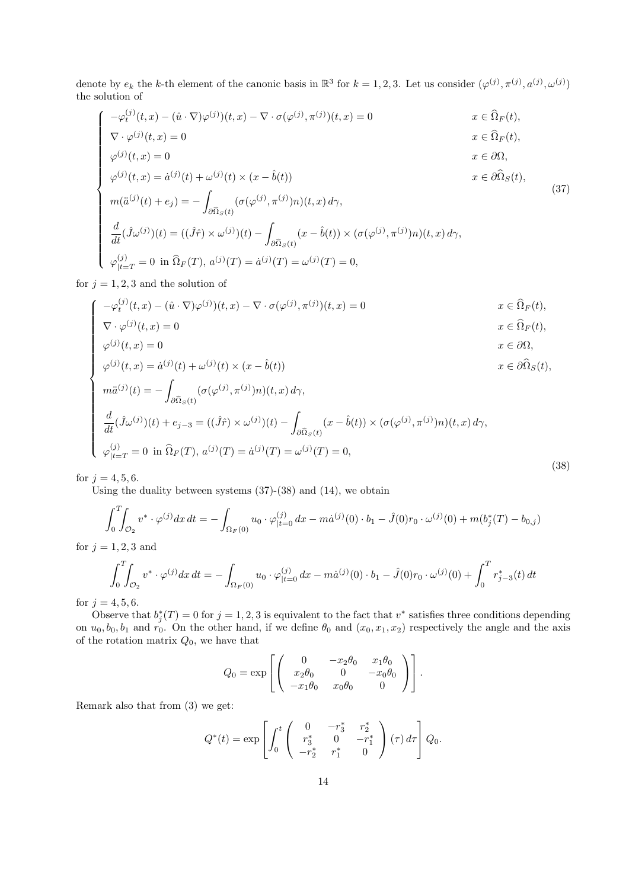denote by  $e_k$  the k-th element of the canonic basis in  $\mathbb{R}^3$  for  $k = 1, 2, 3$ . Let us consider  $(\varphi^{(j)}, \pi^{(j)}, a^{(j)}, \omega^{(j)})$ the solution of

$$
\begin{cases}\n-\varphi_t^{(j)}(t,x) - (\hat{u} \cdot \nabla)\varphi^{(j)}(t,x) - \nabla \cdot \sigma(\varphi^{(j)}, \pi^{(j)})(t,x) = 0 & x \in \widehat{\Omega}_F(t), \\
\nabla \cdot \varphi^{(j)}(t,x) = 0 & x \in \widehat{\Omega}_F(t), \\
\varphi^{(j)}(t,x) = 0 & x \in \partial\Omega, \\
\varphi^{(j)}(t,x) = \dot{a}^{(j)}(t) + \omega^{(j)}(t) \times (x - \hat{b}(t)) & x \in \partial\widehat{\Omega}_S(t),\n\end{cases}
$$
\n(37)

$$
\begin{cases}\n m(\ddot{a}^{(j)}(t) + e_j) = -\int_{\partial \widehat{\Omega}_S(t)} (\sigma(\varphi^{(j)}, \pi^{(j)})n)(t, x) d\gamma, \\
\frac{d}{dt}(\hat{J}\omega^{(j)})(t) = ((\hat{J}\hat{r}) \times \omega^{(j)})(t) - \int_{\partial \widehat{\Omega}_S(t)} (x - \hat{b}(t)) \times (\sigma(\varphi^{(j)}, \pi^{(j)})n)(t, x) d\gamma, \\
\varphi_{|t=T}^{(j)} = 0 \text{ in } \widehat{\Omega}_F(T), a^{(j)}(T) = \dot{a}^{(j)}(T) = \omega^{(j)}(T) = 0,\n\end{cases}
$$
\n(37)

for  $j = 1, 2, 3$  and the solution of

$$
-\varphi_t^{(j)}(t,x) - (\hat{u} \cdot \nabla)\varphi^{(j)}(t,x) - \nabla \cdot \sigma(\varphi^{(j)}, \pi^{(j)})(t,x) = 0
$$
  

$$
\nabla \cdot \varphi^{(j)}(t,x) = 0
$$
  

$$
x \in \widehat{\Omega}_F(t),
$$
  

$$
x \in \widehat{\Omega}_F(t),
$$

$$
\varphi^{(j)}(t,x) = 0 \qquad \qquad x \in \partial \Omega,
$$

$$
\nabla \cdot \varphi^{(j)}(t, x) = 0
$$
\n
$$
\varphi^{(j)}(t, x) = 0
$$
\n
$$
x \in \Omega_F(t),
$$
\n
$$
\varphi^{(j)}(t, x) = \dot{a}^{(j)}(t) + \omega^{(j)}(t) \times (x - \hat{b}(t))
$$
\n
$$
x \in \partial \Omega
$$
\n
$$
x \in \partial \Omega(t),
$$
\n
$$
x \in \partial \Omega(t),
$$

$$
\begin{cases}\n m\ddot{a}^{(j)}(t) = -\int_{\partial \widehat{\Omega}_S(t)} (\sigma(\varphi^{(j)}, \pi^{(j)})n)(t, x) d\gamma, \\
 \frac{d}{dt} (\hat{J}\omega^{(j)})(t) + e_{j-3} = ((\hat{J}\hat{r}) \times \omega^{(j)})(t) - \int_{\partial \widehat{\Omega}_S(t)} (x - \hat{b}(t)) \times (\sigma(\varphi^{(j)}, \pi^{(j)})n)(t, x) d\gamma, \\
 \varphi_{|t=T}^{(j)} = 0 \text{ in } \widehat{\Omega}_F(T), a^{(j)}(T) = \dot{a}^{(j)}(T) = \omega^{(j)}(T) = 0,\n\end{cases}
$$
\n(38)

for  $j = 4, 5, 6$ .

 $\sqrt{ }$ 

Using the duality between systems (37)-(38) and (14), we obtain

$$
\int_0^T \int_{\mathcal{O}_2} v^* \cdot \varphi^{(j)} dx dt = - \int_{\Omega_F(0)} u_0 \cdot \varphi^{(j)}_{|t=0} dx - m\dot{a}^{(j)}(0) \cdot b_1 - \hat{J}(0)r_0 \cdot \omega^{(j)}(0) + m(b_j^*(T) - b_{0,j})
$$

for  $j = 1, 2, 3$  and

$$
\int_0^T \int_{\mathcal{O}_2} v^* \cdot \varphi^{(j)} dx dt = -\int_{\Omega_F(0)} u_0 \cdot \varphi^{(j)}_{|t=0} dx - m\dot{a}^{(j)}(0) \cdot b_1 - \hat{J}(0)r_0 \cdot \omega^{(j)}(0) + \int_0^T r^*_{j-3}(t) dt
$$

for  $j = 4, 5, 6$ .

Observe that  $b_j^*(T) = 0$  for  $j = 1, 2, 3$  is equivalent to the fact that  $v^*$  satisfies three conditions depending on  $u_0, b_0, b_1$  and  $r_0$ . On the other hand, if we define  $\theta_0$  and  $(x_0, x_1, x_2)$  respectively the angle and the axis of the rotation matrix  $Q_0$ , we have that

$$
Q_0 = \exp \left[ \begin{pmatrix} 0 & -x_2 \theta_0 & x_1 \theta_0 \\ x_2 \theta_0 & 0 & -x_0 \theta_0 \\ -x_1 \theta_0 & x_0 \theta_0 & 0 \end{pmatrix} \right].
$$

Remark also that from (3) we get:

$$
Q^*(t) = \exp \left[ \int_0^t \begin{pmatrix} 0 & -r_3^* & r_2^* \\ r_3^* & 0 & -r_1^* \\ -r_2^* & r_1^* & 0 \end{pmatrix} (\tau) d\tau \right] Q_0.
$$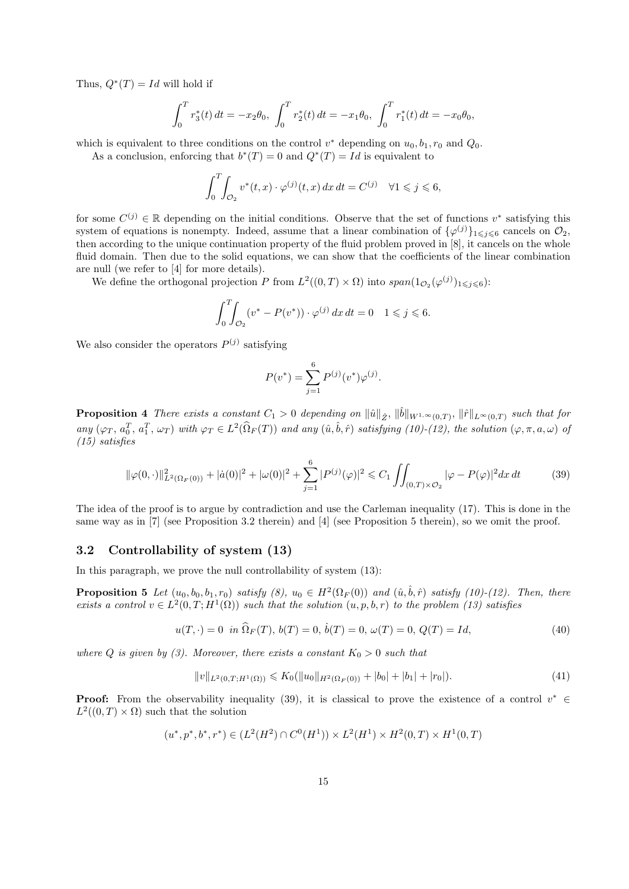Thus,  $Q^*(T) = Id$  will hold if

$$
\int_0^T r_3^*(t) dt = -x_2 \theta_0, \ \int_0^T r_2^*(t) dt = -x_1 \theta_0, \ \int_0^T r_1^*(t) dt = -x_0 \theta_0,
$$

which is equivalent to three conditions on the control  $v^*$  depending on  $u_0, b_1, r_0$  and  $Q_0$ .

As a conclusion, enforcing that  $b^*(T) = 0$  and  $Q^*(T) = Id$  is equivalent to

$$
\int_0^T \int_{\mathcal{O}_2} v^*(t, x) \cdot \varphi^{(j)}(t, x) \, dx \, dt = C^{(j)} \quad \forall 1 \leqslant j \leqslant 6,
$$

for some  $C^{(j)} \in \mathbb{R}$  depending on the initial conditions. Observe that the set of functions  $v^*$  satisfying this system of equations is nonempty. Indeed, assume that a linear combination of  $\{\varphi^{(j)}\}_{1\leq j\leq 6}$  cancels on  $\mathcal{O}_2$ , then according to the unique continuation property of the fluid problem proved in [8], it cancels on the whole fluid domain. Then due to the solid equations, we can show that the coefficients of the linear combination are null (we refer to [4] for more details).

We define the orthogonal projection P from  $L^2((0,T) \times \Omega)$  into  $span(1_{\mathcal{O}_2}(\varphi^{(j)})_{1 \leq j \leq 6})$ :

$$
\int_0^T \int_{\mathcal{O}_2} (v^* - P(v^*)) \cdot \varphi^{(j)} \, dx \, dt = 0 \quad 1 \leq j \leq 6.
$$

We also consider the operators  $P^{(j)}$  satisfying

$$
P(v^*) = \sum_{j=1}^{6} P^{(j)}(v^*) \varphi^{(j)}.
$$

**Proposition 4** There exists a constant  $C_1 > 0$  depending on  $\|\hat{u}\|_{\hat{Z}}$ ,  $\|\hat{b}\|_{W^{1,\infty}(0,T)}$ ,  $\|\hat{r}\|_{L^{\infty}(0,T)}$  such that for any  $(\varphi_T, a_0^T, a_1^T, \omega_T)$  with  $\varphi_T \in L^2(\widehat{\Omega}_F(T))$  and any  $(\hat{u}, \hat{b}, \hat{r})$  satisfying  $(10)-(12)$ , the solution  $(\varphi, \pi, a, \omega)$  of (15) satisfies

$$
\|\varphi(0,\cdot)\|_{L^2(\Omega_F(0))}^2 + |\dot{a}(0)|^2 + |\omega(0)|^2 + \sum_{j=1}^6 |P^{(j)}(\varphi)|^2 \le C_1 \iint_{(0,T)\times\mathcal{O}_2} |\varphi - P(\varphi)|^2 dx dt \tag{39}
$$

The idea of the proof is to argue by contradiction and use the Carleman inequality (17). This is done in the same way as in [7] (see Proposition 3.2 therein) and [4] (see Proposition 5 therein), so we omit the proof.

### 3.2 Controllability of system (13)

In this paragraph, we prove the null controllability of system (13):

**Proposition 5** Let  $(u_0, b_0, b_1, r_0)$  satisfy  $(8)$ ,  $u_0 \in H^2(\Omega_F(0))$  and  $(\hat{u}, \hat{b}, \hat{r})$  satisfy  $(10)-(12)$ . Then, there exists a control  $v \in L^2(0,T;H^1(\Omega))$  such that the solution  $(u, p, b, r)$  to the problem (13) satisfies

$$
u(T, \cdot) = 0 \quad \text{in } \hat{\Omega}_F(T), \ b(T) = 0, \ \dot{b}(T) = 0, \ \omega(T) = 0, \ Q(T) = Id,\tag{40}
$$

where Q is given by (3). Moreover, there exists a constant  $K_0 > 0$  such that

$$
||v||_{L^{2}(0,T;H^{1}(\Omega))} \leqslant K_{0}(||u_{0}||_{H^{2}(\Omega_{F}(0))} + |b_{0}| + |b_{1}| + |r_{0}|). \tag{41}
$$

**Proof:** From the observability inequality (39), it is classical to prove the existence of a control  $v^* \in$  $L^2((0,T)\times\Omega)$  such that the solution

$$
(u^*, p^*, b^*, r^*) \in (L^2(H^2) \cap C^0(H^1)) \times L^2(H^1) \times H^2(0,T) \times H^1(0,T)
$$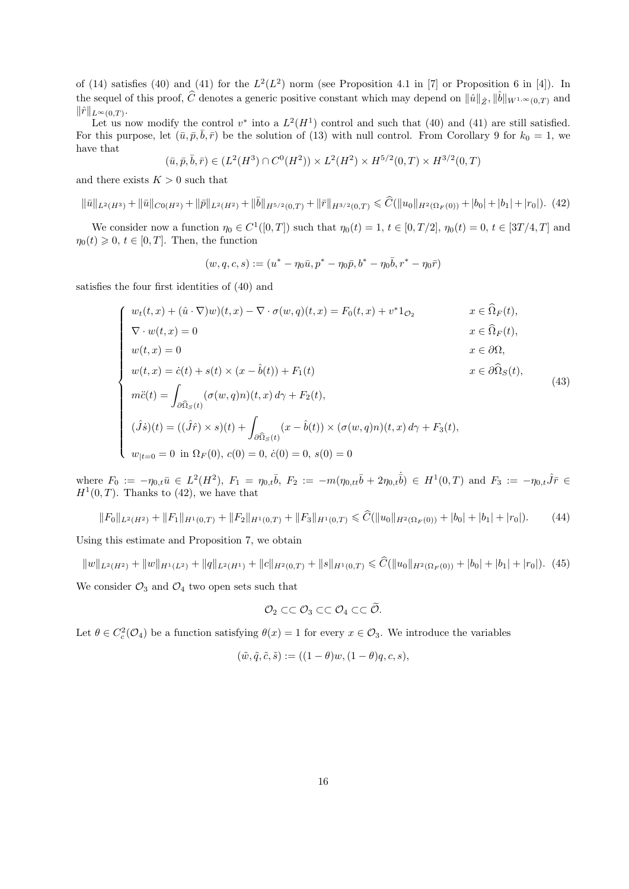of (14) satisfies (40) and (41) for the  $L^2(L^2)$  norm (see Proposition 4.1 in [7] or Proposition 6 in [4]). In the sequel of this proof,  $\hat{C}$  denotes a generic positive constant which may depend on  $\|\hat{u}\|_{\hat{Z}}, \|\hat{b}\|_{W^{1,\infty}(0,T)}$  and  $\|\hat{r}\|_{L^{\infty}(0,T)}.$ 

Let us now modify the control  $v^*$  into a  $L^2(H^1)$  control and such that (40) and (41) are still satisfied. For this purpose, let  $(\bar{u}, \bar{p}, \bar{b}, \bar{r})$  be the solution of (13) with null control. From Corollary 9 for  $k_0 = 1$ , we have that

$$
(\bar{u}, \bar{p}, \bar{b}, \bar{r}) \in (L^2(H^3) \cap C^0(H^2)) \times L^2(H^2) \times H^{5/2}(0, T) \times H^{3/2}(0, T)
$$

and there exists  $K > 0$  such that

$$
\|\bar{u}\|_{L^{2}(H^{3})} + \|\bar{u}\|_{C^{0}(H^{2})} + \|\bar{p}\|_{L^{2}(H^{2})} + \|\bar{b}\|_{H^{5/2}(0,T)} + \|\bar{r}\|_{H^{3/2}(0,T)} \leq \widehat{C}(\|u_{0}\|_{H^{2}(\Omega_{F}(0))} + |b_{0}| + |b_{1}| + |r_{0}|). \tag{42}
$$

We consider now a function  $\eta_0 \in C^1([0,T])$  such that  $\eta_0(t) = 1, t \in [0,T/2], \eta_0(t) = 0, t \in [3T/4,T]$  and  $\eta_0(t) \geq 0, t \in [0, T]$ . Then, the function

$$
(w,q,c,s):=(u^*-\eta_0\bar{u},p^*-\eta_0\bar{p},b^*-\eta_0\bar{b},r^*-\eta_0\bar{r})
$$

satisfies the four first identities of (40) and

$$
\begin{cases}\nw_t(t, x) + (\hat{u} \cdot \nabla)w)(t, x) - \nabla \cdot \sigma(w, q)(t, x) = F_0(t, x) + v^* 1_{\mathcal{O}_2} & x \in \hat{\Omega}_F(t), \\
\nabla \cdot w(t, x) = 0 & x \in \hat{\Omega}_F(t), \\
w(t, x) = 0 & x \in \partial \Omega, \\
w(t, x) = \dot{c}(t) + s(t) \times (x - \hat{b}(t)) + F_1(t) & x \in \partial \hat{\Omega}_S(t), \\
m\ddot{c}(t) = \int_{\partial \hat{\Omega}_S(t)} (\sigma(w, q)n)(t, x) d\gamma + F_2(t), \\
(\hat{J}\dot{s})(t) = ((\hat{J}\hat{r}) \times s)(t) + \int_{\partial \hat{\Omega}_S(t)} (x - \hat{b}(t)) \times (\sigma(w, q)n)(t, x) d\gamma + F_3(t), \\
w_{|t=0} = 0 \text{ in } \Omega_F(0), c(0) = 0, \dot{c}(0) = 0, s(0) = 0\n\end{cases}
$$
\n(43)

where  $F_0 := -\eta_{0,t}\bar{u} \in L^2(H^2)$ ,  $F_1 = \eta_{0,t}\bar{b}$ ,  $F_2 := -m(\eta_{0,tt}\bar{b} + 2\eta_{0,t}\bar{b}) \in H^1(0,T)$  and  $F_3 := -\eta_{0,t}\hat{J}\bar{r} \in$  $H^1(0,T)$ . Thanks to (42), we have that

$$
||F_0||_{L^2(H^2)} + ||F_1||_{H^1(0,T)} + ||F_2||_{H^1(0,T)} + ||F_3||_{H^1(0,T)} \leq \widehat{C}(||u_0||_{H^2(\Omega_F(0))} + |b_0| + |b_1| + |r_0|). \tag{44}
$$

Using this estimate and Proposition 7, we obtain

$$
||w||_{L^{2}(H^{2})} + ||w||_{H^{1}(L^{2})} + ||q||_{L^{2}(H^{1})} + ||c||_{H^{2}(0,T)} + ||s||_{H^{1}(0,T)} \leq \widehat{C}(||u_{0}||_{H^{2}(\Omega_{F}(0))} + |b_{0}| + |b_{1}| + |r_{0}|). \tag{45}
$$
  
We consider  $\mathcal{O}_{3}$  and  $\mathcal{O}_{4}$  two open sets such that

$$
\mathcal{O}_2 \subset\subset \mathcal{O}_3 \subset\subset \mathcal{O}_4 \subset\subset \widetilde{\mathcal{O}}.
$$

Let  $\theta \in C_c^2(\mathcal{O}_4)$  be a function satisfying  $\theta(x) = 1$  for every  $x \in \mathcal{O}_3$ . We introduce the variables

$$
(\tilde{w}, \tilde{q}, \tilde{c}, \tilde{s}) := ((1 - \theta)w, (1 - \theta)q, c, s),
$$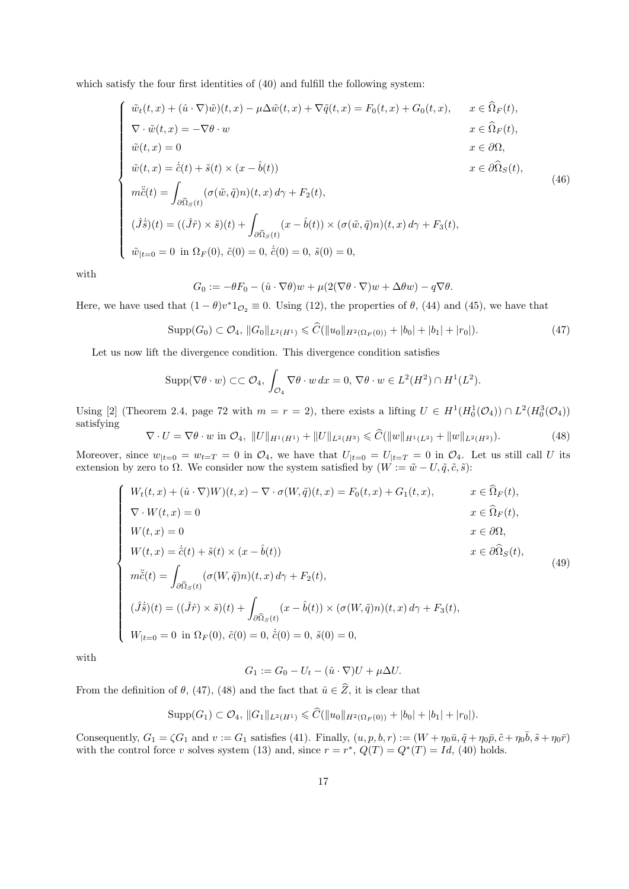which satisfy the four first identities of  $(40)$  and fulfill the following system:

$$
\begin{cases}\n\tilde{w}_t(t,x) + (\hat{u} \cdot \nabla)\tilde{w})(t,x) - \mu \Delta \tilde{w}(t,x) + \nabla \tilde{q}(t,x) = F_0(t,x) + G_0(t,x), & x \in \hat{\Omega}_F(t), \\
\nabla \cdot \tilde{w}(t,x) = -\nabla \theta \cdot w & x \in \hat{\Omega}_F(t), \\
\tilde{w}(t,x) = 0 & x \in \partial \Omega, \\
\tilde{w}(t,x) = \dot{\tilde{c}}(t) + \tilde{s}(t) \times (x - \hat{b}(t)) & x \in \partial \hat{\Omega}_S(t), \\
m\ddot{\tilde{c}}(t) = \int_{\partial \hat{\Omega}_S(t)} (\sigma(\tilde{w}, \tilde{q})n)(t,x) d\gamma + F_2(t), \\
(\hat{J}\dot{\tilde{s}})(t) = ((\hat{J}\hat{r}) \times \tilde{s})(t) + \int_{\partial \hat{\Omega}_S(t)} (x - \hat{b}(t)) \times (\sigma(\tilde{w}, \tilde{q})n)(t,x) d\gamma + F_3(t), \\
\tilde{w}_{|t=0} = 0 \text{ in } \Omega_F(0), \tilde{c}(0) = 0, \dot{\tilde{c}}(0) = 0, \tilde{s}(0) = 0,\n\end{cases}
$$
\n(46)

with

$$
G_0 := -\theta F_0 - (\hat{u} \cdot \nabla \theta)w + \mu(2(\nabla \theta \cdot \nabla)w + \Delta \theta w) - q\nabla \theta.
$$

Here, we have used that  $(1 - \theta)v^*1_{\mathcal{O}_2} \equiv 0$ . Using (12), the properties of  $\theta$ , (44) and (45), we have that

$$
\operatorname{Supp}(G_0) \subset \mathcal{O}_4, \, \|G_0\|_{L^2(H^1)} \leq \widehat{C}(\|u_0\|_{H^2(\Omega_F(0))} + |b_0| + |b_1| + |r_0|). \tag{47}
$$

Let us now lift the divergence condition. This divergence condition satisfies

$$
\operatorname{Supp}(\nabla \theta \cdot w) \subset\subset \mathcal{O}_4, \int_{\mathcal{O}_4} \nabla \theta \cdot w \, dx = 0, \, \nabla \theta \cdot w \in L^2(H^2) \cap H^1(L^2).
$$

Using [2] (Theorem 2.4, page 72 with  $m = r = 2$ ), there exists a lifting  $U \in H^1(H_0^1(\mathcal{O}_4)) \cap L^2(H_0^3(\mathcal{O}_4))$ satisfying

$$
\nabla \cdot U = \nabla \theta \cdot w \text{ in } \mathcal{O}_4, \ \|U\|_{H^1(H^1)} + \|U\|_{L^2(H^3)} \leqslant \widehat{C}(\|w\|_{H^1(L^2)} + \|w\|_{L^2(H^2)}). \tag{48}
$$

Moreover, since  $w_{t=0} = w_{t=T} = 0$  in  $\mathcal{O}_4$ , we have that  $U_{t=0} = U_{t=T} = 0$  in  $\mathcal{O}_4$ . Let us still call U its extension by zero to  $\Omega$ . We consider now the system satisfied by  $(W := \tilde{w} - U, \tilde{q}, \tilde{c}, \tilde{s})$ :

$$
\begin{cases}\nW_t(t, x) + (\hat{u} \cdot \nabla)W)(t, x) - \nabla \cdot \sigma(W, \tilde{q})(t, x) = F_0(t, x) + G_1(t, x), & x \in \hat{\Omega}_F(t), \\
\nabla \cdot W(t, x) = 0 & x \in \hat{\Omega}_F(t), \\
W(t, x) = 0 & x \in \partial\Omega, \\
W(t, x) = \dot{c}(t) + \tilde{s}(t) \times (x - \hat{b}(t)) & x \in \partial\hat{\Omega}_S(t), \\
m\ddot{c}(t) = \int_{\partial\hat{\Omega}_S(t)} (\sigma(W, \tilde{q})n)(t, x) d\gamma + F_2(t), \\
(\hat{J}\dot{\tilde{s}})(t) = ((\hat{J}\hat{r}) \times \tilde{s})(t) + \int_{\partial\hat{\Omega}_S(t)} (x - \hat{b}(t)) \times (\sigma(W, \tilde{q})n)(t, x) d\gamma + F_3(t), \\
W_{|t=0} = 0 \text{ in } \Omega_F(0), \tilde{c}(0) = 0, \dot{\tilde{c}}(0) = 0, \tilde{s}(0) = 0,\n\end{cases}
$$
\n(49)

with

$$
G_1 := G_0 - U_t - (\hat{u} \cdot \nabla)U + \mu \Delta U.
$$

From the definition of  $\theta$ , (47), (48) and the fact that  $\hat{u} \in \hat{Z}$ , it is clear that

$$
Supp(G_1) \subset O_4, ||G_1||_{L^2(H^1)} \leq \widehat{C}(||u_0||_{H^2(\Omega_F(0))} + |b_0| + |b_1| + |r_0|).
$$

Consequently,  $G_1 = \zeta G_1$  and  $v := G_1$  satisfies (41). Finally,  $(u, p, b, r) := (W + \eta_0 \bar{u}, \tilde{q} + \eta_0 \bar{p}, \tilde{c} + \eta_0 \bar{b}, \tilde{s} + \eta_0 \bar{r})$ with the control force v solves system (13) and, since  $r = r^*$ ,  $Q(T) = Q^*(T) = Id$ , (40) holds.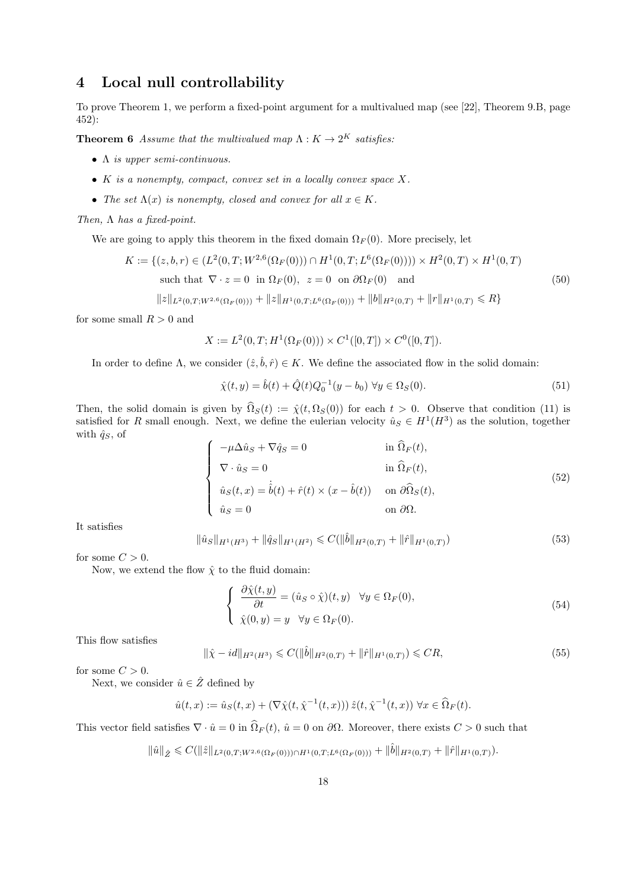# 4 Local null controllability

To prove Theorem 1, we perform a fixed-point argument for a multivalued map (see [22], Theorem 9.B, page 452):

**Theorem 6** Assume that the multivalued map  $\Lambda: K \to 2^K$  satisfies:

- Λ is upper semi-continuous.
- K is a nonempty, compact, convex set in a locally convex space  $X$ .
- The set  $\Lambda(x)$  is nonempty, closed and convex for all  $x \in K$ .

Then,  $\Lambda$  has a fixed-point.

We are going to apply this theorem in the fixed domain  $\Omega_F(0)$ . More precisely, let

$$
K := \{(z, b, r) \in (L^2(0, T; W^{2,6}(\Omega_F(0))) \cap H^1(0, T; L^6(\Omega_F(0)))) \times H^2(0, T) \times H^1(0, T)
$$
  
such that  $\nabla \cdot z = 0$  in  $\Omega_F(0)$ ,  $z = 0$  on  $\partial \Omega_F(0)$  and  

$$
\|z\|_{L^2(0, T; W^{2,6}(\Omega_F(0)))} + \|z\|_{H^1(0, T; L^6(\Omega_F(0)))} + \|b\|_{H^2(0, T)} + \|r\|_{H^1(0, T)} \le R\}
$$
(50)

for some small  $R > 0$  and

$$
X := L^{2}(0,T; H^{1}(\Omega_{F}(0))) \times C^{1}([0,T]) \times C^{0}([0,T]).
$$

In order to define  $\Lambda$ , we consider  $(\hat{z}, \hat{b}, \hat{r}) \in K$ . We define the associated flow in the solid domain:

$$
\hat{\chi}(t, y) = \hat{b}(t) + \hat{Q}(t)Q_0^{-1}(y - b_0) \,\forall y \in \Omega_S(0).
$$
\n(51)

Then, the solid domain is given by  $\hat{\Omega}_S(t) := \hat{\chi}(t, \Omega_S(0))$  for each  $t > 0$ . Observe that condition (11) is satisfied for R small enough. Next, we define the eulerian velocity  $\hat{u}_S \in H^1(H^3)$  as the solution, together with  $\hat{q}_S$ , of

$$
\begin{cases}\n-\mu \Delta \hat{u}_S + \nabla \hat{q}_S = 0 & \text{in } \hat{\Omega}_F(t), \\
\nabla \cdot \hat{u}_S = 0 & \text{in } \hat{\Omega}_F(t), \\
\hat{u}_S(t, x) = \dot{b}(t) + \hat{r}(t) \times (x - \hat{b}(t)) & \text{on } \partial \hat{\Omega}_S(t), \\
\hat{u}_S = 0 & \text{on } \partial \Omega.\n\end{cases}
$$
\n(52)

It satisfies

$$
\|\hat{u}_S\|_{H^1(H^3)} + \|\hat{q}_S\|_{H^1(H^2)} \leqslant C(\|\hat{b}\|_{H^2(0,T)} + \|\hat{r}\|_{H^1(0,T)})\tag{53}
$$

for some  $C > 0$ .

Now, we extend the flow  $\hat{\chi}$  to the fluid domain:

$$
\begin{cases}\n\frac{\partial \hat{\chi}(t,y)}{\partial t} = (\hat{u}_S \circ \hat{\chi})(t,y) & \forall y \in \Omega_F(0), \\
\hat{\chi}(0,y) = y & \forall y \in \Omega_F(0).\n\end{cases}
$$
\n(54)

This flow satisfies

$$
\|\hat{\chi} - id\|_{H^2(H^3)} \leq C(\|\hat{b}\|_{H^2(0,T)} + \|\hat{r}\|_{H^1(0,T)}) \leq CR,\tag{55}
$$

for some  $C > 0$ .

Next, we consider  $\hat{u} \in \hat{Z}$  defined by

$$
\hat{u}(t,x) := \hat{u}_S(t,x) + (\nabla \hat{\chi}(t, \hat{\chi}^{-1}(t,x))) \hat{z}(t, \hat{\chi}^{-1}(t,x)) \,\forall x \in \hat{\Omega}_F(t).
$$

This vector field satisfies  $\nabla \cdot \hat{u} = 0$  in  $\hat{\Omega}_F(t)$ ,  $\hat{u} = 0$  on  $\partial \Omega$ . Moreover, there exists  $C > 0$  such that

 $\|\hat{u}\|_{\hat{Z}} \leqslant C(\|\hat{z}\|_{L^2(0,T;W^{2,6}(\Omega_F(0)))\cap H^1(0,T;L^6(\Omega_F(0)))} + \|\hat{b}\|_{H^2(0,T)} + \|\hat{r}\|_{H^1(0,T)}).$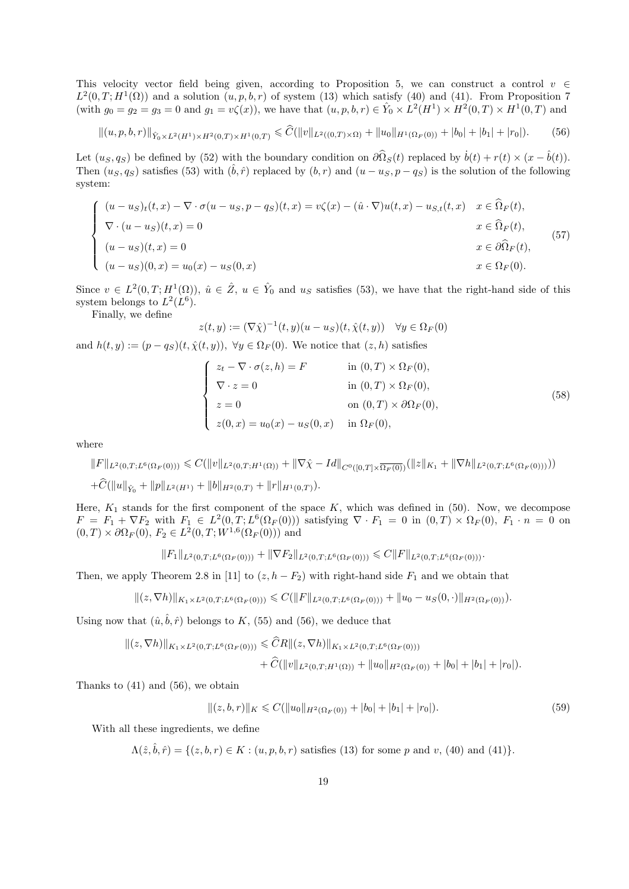This velocity vector field being given, according to Proposition 5, we can construct a control  $v \in$  $L^2(0,T;H^1(\Omega))$  and a solution  $(u, p, b, r)$  of system (13) which satisfy (40) and (41). From Proposition 7 (with  $g_0 = g_2 = g_3 = 0$  and  $g_1 = v\zeta(x)$ ), we have that  $(u, p, b, r) \in Y_0 \times L^2(H^1) \times H^2(0, T) \times H^1(0, T)$  and

$$
||(u, p, b, r)||_{\hat{Y}_0 \times L^2(H^1) \times H^2(0,T) \times H^1(0,T)} \leq \widehat{C}(\|v\|_{L^2((0,T) \times \Omega)} + \|u_0\|_{H^1(\Omega_F(0))} + |b_0| + |b_1| + |r_0|). \tag{56}
$$

Let  $(u_S, q_S)$  be defined by (52) with the boundary condition on  $\partial \hat{\Omega}_S(t)$  replaced by  $\dot{b}(t) + r(t) \times (x - \hat{b}(t))$ . Then  $(u_S, q_S)$  satisfies (53) with  $(\hat{b}, \hat{r})$  replaced by  $(b, r)$  and  $(u - u_S, p - q_S)$  is the solution of the following system:

$$
\begin{cases}\n(u - u_S)_t(t, x) - \nabla \cdot \sigma(u - u_S, p - q_S)(t, x) = v\zeta(x) - (\hat{u} \cdot \nabla)u(t, x) - u_{S,t}(t, x) & x \in \hat{\Omega}_F(t), \\
\nabla \cdot (u - u_S)(t, x) = 0 & x \in \hat{\Omega}_F(t), \\
(u - u_S)(t, x) = 0 & x \in \partial \hat{\Omega}_F(t), \\
(u - u_S)(0, x) = u_0(x) - u_S(0, x) & x \in \Omega_F(0).\n\end{cases}
$$
\n(57)

Since  $v \in L^2(0,T;H^1(\Omega))$ ,  $\hat{u} \in \hat{Z}$ ,  $u \in \hat{Y}_0$  and  $u_s$  satisfies (53), we have that the right-hand side of this system belongs to  $L^2(L^6)$ .

Finally, we define

 $z(t, y) := (\nabla \hat{\chi})^{-1}(t, y)(u - u_S)(t, \hat{\chi}(t, y)) \quad \forall y \in \Omega_F(0)$ and  $h(t, y) := (p - q_S)(t, \hat{\chi}(t, y)), \forall y \in \Omega_F(0)$ . We notice that  $(z, h)$  satisfies

$$
\begin{cases}\n z_t - \nabla \cdot \sigma(z, h) = F & \text{in } (0, T) \times \Omega_F(0), \\
 \nabla \cdot z = 0 & \text{in } (0, T) \times \Omega_F(0), \\
 z = 0 & \text{on } (0, T) \times \partial \Omega_F(0), \\
 z(0, x) = u_0(x) - u_S(0, x) & \text{in } \Omega_F(0),\n\end{cases}
$$
\n(58)

where

$$
||F||_{L^{2}(0,T;L^{6}(\Omega_{F}(0)))} \leq C(||v||_{L^{2}(0,T;H^{1}(\Omega))} + ||\nabla \hat{\chi} - Id||_{C^{0}([0,T] \times \overline{\Omega_{F}(0)})} (||z||_{K_{1}} + ||\nabla h||_{L^{2}(0,T;L^{6}(\Omega_{F}(0))))
$$
  
+ $\widehat{C}(||u||_{\hat{Y}_{0}} + ||p||_{L^{2}(H^{1})} + ||b||_{H^{2}(0,T)} + ||r||_{H^{1}(0,T)}).$ 

Here,  $K_1$  stands for the first component of the space  $K$ , which was defined in (50). Now, we decompose  $F = F_1 + \nabla F_2$  with  $F_1 \in L^2(0,T;L^6(\Omega_F(0)))$  satisfying  $\nabla \cdot F_1 = 0$  in  $(0,T) \times \Omega_F(0)$ ,  $F_1 \cdot n = 0$  on  $(0, T) \times \partial \Omega_F(0), F_2 \in L^2(0, T; W^{1,6}(\Omega_F(0)))$  and

$$
||F_1||_{L^2(0,T;L^6(\Omega_F(0)))} + ||\nabla F_2||_{L^2(0,T;L^6(\Omega_F(0)))} \leq C||F||_{L^2(0,T;L^6(\Omega_F(0)))}.
$$

Then, we apply Theorem 2.8 in [11] to  $(z, h - F_2)$  with right-hand side  $F_1$  and we obtain that

$$
||(z, \nabla h)||_{K_1 \times L^2(0,T;L^6(\Omega_F(0)))} \leq C(||F||_{L^2(0,T;L^6(\Omega_F(0)))} + ||u_0 - u_S(0, \cdot)||_{H^2(\Omega_F(0))}).
$$

Using now that  $(\hat{u}, \hat{b}, \hat{r})$  belongs to K, (55) and (56), we deduce that

$$
||(z, \nabla h)||_{K_1 \times L^2(0,T;L^6(\Omega_F(0)))} \leq \widehat{C}R||(z, \nabla h)||_{K_1 \times L^2(0,T;L^6(\Omega_F(0)))} + \widehat{C}(||v||_{L^2(0,T;H^1(\Omega))} + ||u_0||_{H^2(\Omega_F(0))} + |b_0| + |b_1| + |r_0|).
$$

Thanks to (41) and (56), we obtain

$$
||(z, b, r)||K \leq C(||u_0||_{H^2(\Omega_F(0))} + |b_0| + |b_1| + |r_0|).
$$
\n(59)

With all these ingredients, we define

 $\Lambda(\hat{z}, \hat{b}, \hat{r}) = \{(z, b, r) \in K : (u, p, b, r) \text{ satisfies (13) for some } p \text{ and } v, (40) \text{ and (41)}\}.$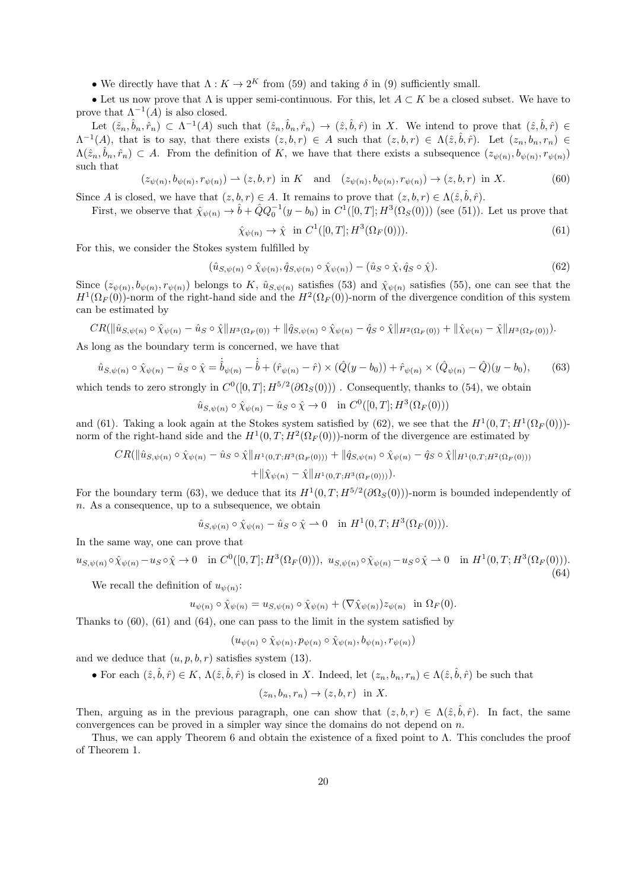• We directly have that  $\Lambda: K \to 2^K$  from (59) and taking  $\delta$  in (9) sufficiently small.

• Let us now prove that  $\Lambda$  is upper semi-continuous. For this, let  $A \subset K$  be a closed subset. We have to prove that  $\Lambda^{-1}(A)$  is also closed.

Let  $(\hat{z}_n, \hat{b}_n, \hat{r}_n) \subset \Lambda^{-1}(A)$  such that  $(\hat{z}_n, \hat{b}_n, \hat{r}_n) \to (\hat{z}, \hat{b}, \hat{r})$  in X. We intend to prove that  $(\hat{z}, \hat{b}, \hat{r}) \in$  $\Lambda^{-1}(A)$ , that is to say, that there exists  $(z, b, r) \in A$  such that  $(z, b, r) \in \Lambda(\hat{z}, \hat{b}, \hat{r})$ . Let  $(z_n, b_n, r_n) \in$  $\Lambda(\hat{z}_n, \hat{b}_n, \hat{r}_n) \subset A$ . From the definition of K, we have that there exists a subsequence  $(z_{\psi(n)}, b_{\psi(n)}, r_{\psi(n)})$ such that

$$
(z_{\psi(n)}, b_{\psi(n)}, r_{\psi(n)}) \to (z, b, r) \text{ in } K \text{ and } (z_{\psi(n)}, b_{\psi(n)}, r_{\psi(n)}) \to (z, b, r) \text{ in } X. \tag{60}
$$

Since A is closed, we have that  $(z, b, r) \in A$ . It remains to prove that  $(z, b, r) \in \Lambda(\hat{z}, \hat{b}, \hat{r})$ .

First, we observe that  $\hat{\chi}_{\psi(n)} \to \hat{b} + \hat{Q} Q_0^{-1}(y - b_0)$  in  $C^1([0, T]; H^3(\Omega_S(0)))$  (see (51)). Let us prove that

$$
\hat{\chi}_{\psi(n)} \to \hat{\chi} \text{ in } C^1([0, T]; H^3(\Omega_F(0))). \tag{61}
$$

For this, we consider the Stokes system fulfilled by

$$
(\hat{u}_{S,\psi(n)} \circ \hat{\chi}_{\psi(n)}, \hat{q}_{S,\psi(n)} \circ \hat{\chi}_{\psi(n)}) - (\hat{u}_S \circ \hat{\chi}, \hat{q}_S \circ \hat{\chi}). \tag{62}
$$

Since  $(z_{\psi(n)}, b_{\psi(n)}, r_{\psi(n)})$  belongs to K,  $\hat{u}_{S, \psi(n)}$  satisfies (53) and  $\hat{\chi}_{\psi(n)}$  satisfies (55), one can see that the  $H^1(\Omega_F(0))$ -norm of the right-hand side and the  $H^2(\Omega_F(0))$ -norm of the divergence condition of this system can be estimated by

$$
CR(\|\hat{u}_{S,\psi(n)} \circ \hat{\chi}_{\psi(n)} - \hat{u}_S \circ \hat{\chi}\|_{H^3(\Omega_F(0))} + \|\hat{q}_{S,\psi(n)} \circ \hat{\chi}_{\psi(n)} - \hat{q}_S \circ \hat{\chi}\|_{H^2(\Omega_F(0))} + \|\hat{\chi}_{\psi(n)} - \hat{\chi}\|_{H^3(\Omega_F(0))}).
$$

As long as the boundary term is concerned, we have that

$$
\hat{u}_{S,\psi(n)} \circ \hat{\chi}_{\psi(n)} - \hat{u}_S \circ \hat{\chi} = \dot{\hat{b}}_{\psi(n)} - \dot{\hat{b}} + (\hat{r}_{\psi(n)} - \hat{r}) \times (\hat{Q}(y - b_0)) + \hat{r}_{\psi(n)} \times (\hat{Q}_{\psi(n)} - \hat{Q})(y - b_0),
$$
(63)

which tends to zero strongly in  $C^0([0,T]; H^{5/2}(\partial \Omega_S(0)))$ . Consequently, thanks to (54), we obtain

$$
\hat{u}_{S,\psi(n)} \circ \hat{\chi}_{\psi(n)} - \hat{u}_S \circ \hat{\chi} \to 0 \quad \text{in } C^0([0,T]; H^3(\Omega_F(0)))
$$

and (61). Taking a look again at the Stokes system satisfied by (62), we see that the  $H^1(0,T;H^1(\Omega_F(0)))$ norm of the right-hand side and the  $H^1(0,T; H^2(\Omega_F(0)))$ -norm of the divergence are estimated by

$$
CR(\|\hat{u}_{S,\psi(n)} \circ \hat{\chi}_{\psi(n)} - \hat{u}_S \circ \hat{\chi}\|_{H^1(0,T;H^3(\Omega_F(0)))} + \|\hat{q}_{S,\psi(n)} \circ \hat{\chi}_{\psi(n)} - \hat{q}_S \circ \hat{\chi}\|_{H^1(0,T;H^2(\Omega_F(0)))}
$$
  
 
$$
+ \|\hat{\chi}_{\psi(n)} - \hat{\chi}\|_{H^1(0,T;H^3(\Omega_F(0)))}).
$$

For the boundary term (63), we deduce that its  $H^1(0,T; H^{5/2}(\partial \Omega_S(0)))$ -norm is bounded independently of  $n.$  As a consequence, up to a subsequence, we obtain

$$
\hat{u}_{S,\psi(n)} \circ \hat{\chi}_{\psi(n)} - \hat{u}_S \circ \hat{\chi} \rightharpoonup 0 \quad \text{in } H^1(0,T;H^3(\Omega_F(0))).
$$

In the same way, one can prove that

$$
u_{S,\psi(n)} \circ \hat{\chi}_{\psi(n)} - u_S \circ \hat{\chi} \to 0 \quad \text{in } C^0([0,T];H^3(\Omega_F(0))), \ u_{S,\psi(n)} \circ \hat{\chi}_{\psi(n)} - u_S \circ \hat{\chi} \to 0 \quad \text{in } H^1(0,T;H^3(\Omega_F(0))).
$$
\n(64)

We recall the definition of  $u_{\psi(n)}$ :

$$
u_{\psi(n)} \circ \hat{\chi}_{\psi(n)} = u_{S,\psi(n)} \circ \hat{\chi}_{\psi(n)} + (\nabla \hat{\chi}_{\psi(n)}) z_{\psi(n)} \text{ in } \Omega_F(0).
$$

Thanks to  $(60)$ ,  $(61)$  and  $(64)$ , one can pass to the limit in the system satisfied by

$$
(u_{\psi(n)} \circ \hat{\chi}_{\psi(n)}, p_{\psi(n)} \circ \hat{\chi}_{\psi(n)}, b_{\psi(n)}, r_{\psi(n)})
$$

and we deduce that  $(u, p, b, r)$  satisfies system (13).

• For each  $(\hat{z}, \hat{b}, \hat{r}) \in K$ ,  $\Lambda(\hat{z}, \hat{b}, \hat{r})$  is closed in X. Indeed, let  $(z_n, b_n, r_n) \in \Lambda(\hat{z}, \hat{b}, \hat{r})$  be such that

$$
(z_n, b_n, r_n) \to (z, b, r) \text{ in } X.
$$

Then, arguing as in the previous paragraph, one can show that  $(z, b, r) \in \Lambda(\hat{z}, \hat{b}, \hat{r})$ . In fact, the same convergences can be proved in a simpler way since the domains do not depend on  $n$ .

Thus, we can apply Theorem 6 and obtain the existence of a fixed point to  $\Lambda$ . This concludes the proof of Theorem 1.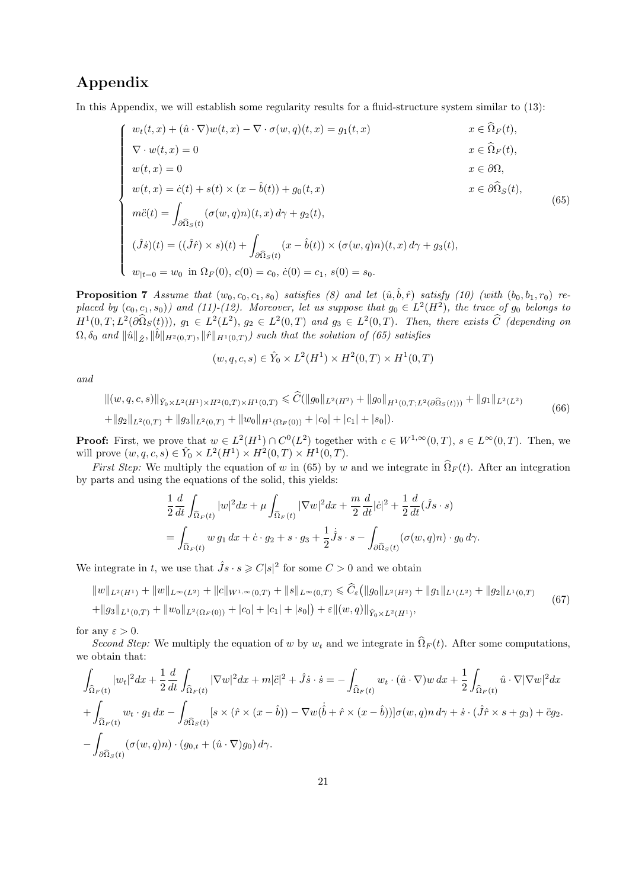# Appendix

In this Appendix, we will establish some regularity results for a fluid-structure system similar to  $(13)$ :

$$
\begin{cases}\nw_t(t, x) + (\hat{u} \cdot \nabla)w(t, x) - \nabla \cdot \sigma(w, q)(t, x) = g_1(t, x) & x \in \hat{\Omega}_F(t), \\
\nabla \cdot w(t, x) = 0 & x \in \hat{\Omega}_F(t), \\
w(t, x) = 0 & x \in \partial\Omega, \\
w(t, x) = \dot{c}(t) + s(t) \times (x - \hat{b}(t)) + g_0(t, x) & x \in \partial\hat{\Omega}_S(t), \\
m\ddot{c}(t) = \int_{\partial\hat{\Omega}_S(t)} (\sigma(w, q)n)(t, x) d\gamma + g_2(t), \\
(\hat{J}\dot{s})(t) = ((\hat{J}\hat{r}) \times s)(t) + \int_{\partial\hat{\Omega}_S(t)} (x - \hat{b}(t)) \times (\sigma(w, q)n)(t, x) d\gamma + g_3(t), \\
w_{|t=0} = w_0 \text{ in } \Omega_F(0), c(0) = c_0, \dot{c}(0) = c_1, s(0) = s_0.\n\end{cases}
$$
\n(65)

**Proposition 7** Assume that  $(w_0, c_0, c_1, s_0)$  satisfies (8) and let  $(\hat{u}, \hat{b}, \hat{r})$  satisfy (10) (with  $(b_0, b_1, r_0)$  replaced by  $(c_0, c_1, s_0)$  and (11)-(12). Moreover, let us suppose that  $g_0 \in L^2(H^2)$ , the trace of  $g_0$  belongs to  $H^1(0,T; L^2(\partial \Omega_S(t)))$ ,  $g_1 \in L^2(L^2)$ ,  $g_2 \in L^2(0,T)$  and  $g_3 \in L^2(0,T)$ . Then, there exists  $\widehat{C}$  (depending on  $\Omega, \delta_0$  and  $\|\hat{u}\|_{\hat{Z}}, \|\hat{b}\|_{H^2(0,T)}, \|\hat{r}\|_{H^1(0,T)})$  such that the solution of (65) satisfies

$$
(w, q, c, s) \in \hat{Y}_0 \times L^2(H^1) \times H^2(0, T) \times H^1(0, T)
$$

and

$$
\|(w, q, c, s)\|_{\hat{Y}_0 \times L^2(H^1) \times H^2(0, T) \times H^1(0, T)} \leq \widehat{C}(\|g_0\|_{L^2(H^2)} + \|g_0\|_{H^1(0, T; L^2(\partial \Omega_S(t)))} + \|g_1\|_{L^2(L^2)}
$$
  
+
$$
\|g_2\|_{L^2(0, T)} + \|g_3\|_{L^2(0, T)} + \|w_0\|_{H^1(\Omega_F(0))} + |c_0| + |c_1| + |s_0|).
$$
\n(66)

**Proof:** First, we prove that  $w \in L^2(H^1) \cap C^0(L^2)$  together with  $c \in W^{1,\infty}(0,T)$ ,  $s \in L^{\infty}(0,T)$ . Then, we will prove  $(w, q, c, s) \in \hat{Y}_0 \times L^2(H^1) \times H^2(0, T) \times H^1(0, T)$ .

First Step: We multiply the equation of w in (65) by w and we integrate in  $\widehat{\Omega}_F(t)$ . After an integration by parts and using the equations of the solid, this yields:

$$
\frac{1}{2}\frac{d}{dt}\int_{\widehat{\Omega}_F(t)}|w|^2dx+\mu\int_{\widehat{\Omega}_F(t)}|\nabla w|^2dx+\frac{m}{2}\frac{d}{dt}|\dot{c}|^2+\frac{1}{2}\frac{d}{dt}(\hat{J}s\cdot s)
$$
  
=
$$
\int_{\widehat{\Omega}_F(t)}w g_1 dx+\dot{c}\cdot g_2+s\cdot g_3+\frac{1}{2}\dot{J}s\cdot s-\int_{\partial\widehat{\Omega}_S(t)}(\sigma(w,q)n)\cdot g_0 d\gamma.
$$

We integrate in t, we use that  $\hat{J}s \cdot s \geq C|s|^2$  for some  $C > 0$  and we obtain

 $||w||_{L^2(H^1)} + ||w||_{L^{\infty}(L^2)} + ||c||_{W^{1,\infty}(0,T)} + ||s||_{L^{\infty}(0,T)} \leq \widehat{C}_{\varepsilon} (||g_0||_{L^2(H^2)} + ||g_1||_{L^1(L^2)} + ||g_2||_{L^1(0,T)}$  $+||g_3||_{L^1(0,T)} + ||w_0||_{L^2(\Omega_F(0))} + |c_0| + |c_1| + |s_0| + \varepsilon ||(w,q)||_{\hat{Y}_0 \times L^2(H^1)},$ (67)

for any  $\varepsilon > 0$ .

Second Step: We multiply the equation of w by  $w_t$  and we integrate in  $\widehat{\Omega}_F (t)$ . After some computations, we obtain that:

$$
\int_{\widehat{\Omega}_F(t)} |w_t|^2 dx + \frac{1}{2} \frac{d}{dt} \int_{\widehat{\Omega}_F(t)} |\nabla w|^2 dx + m|\ddot{c}|^2 + \hat{J}\dot{s} \cdot \dot{s} = -\int_{\widehat{\Omega}_F(t)} w_t \cdot (\hat{u} \cdot \nabla) w \, dx + \frac{1}{2} \int_{\widehat{\Omega}_F(t)} \hat{u} \cdot \nabla |\nabla w|^2 dx
$$
  
+ 
$$
\int_{\widehat{\Omega}_F(t)} w_t \cdot g_1 \, dx - \int_{\partial \widehat{\Omega}_S(t)} [s \times (\hat{r} \times (x - \hat{b})) - \nabla w(\dot{b} + \hat{r} \times (x - \hat{b}))] \sigma(w, q) n \, d\gamma + \dot{s} \cdot (\hat{J}\hat{r} \times s + g_3) + \ddot{c}g_2.
$$
  
- 
$$
\int_{\partial \widehat{\Omega}_S(t)} (\sigma(w, q)n) \cdot (g_{0,t} + (\hat{u} \cdot \nabla)g_0) \, d\gamma.
$$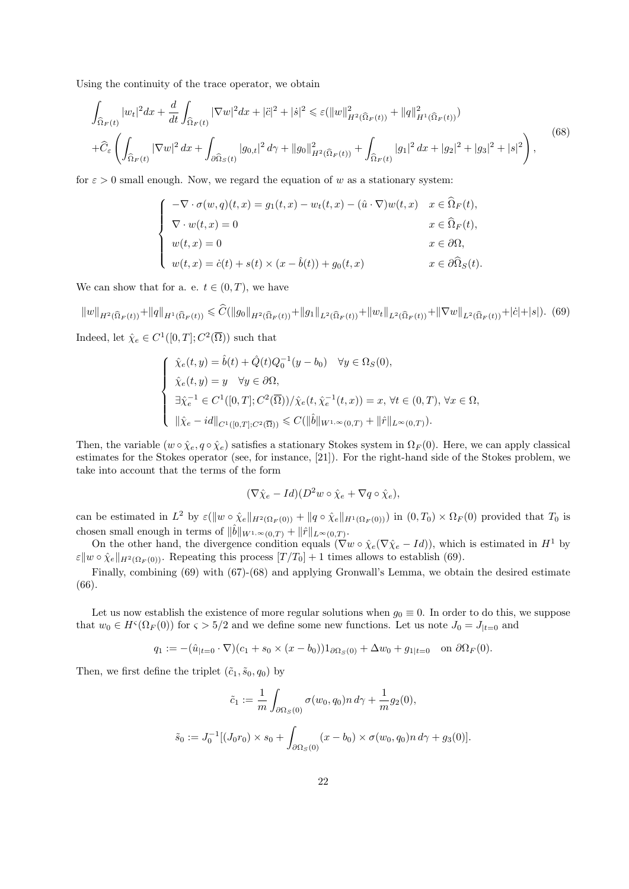Using the continuity of the trace operator, we obtain

$$
\int_{\widehat{\Omega}_F(t)} |w_t|^2 dx + \frac{d}{dt} \int_{\widehat{\Omega}_F(t)} |\nabla w|^2 dx + |\ddot{c}|^2 + |\dot{s}|^2 \leq \varepsilon (\|w\|_{H^2(\widehat{\Omega}_F(t))}^2 + \|q\|_{H^1(\widehat{\Omega}_F(t))}^2)
$$
\n
$$
+ \widehat{C}_{\varepsilon} \left( \int_{\widehat{\Omega}_F(t)} |\nabla w|^2 dx + \int_{\partial \widehat{\Omega}_S(t)} |g_{0,t}|^2 d\gamma + \|g_0\|_{H^2(\widehat{\Omega}_F(t))}^2 + \int_{\widehat{\Omega}_F(t)} |g_1|^2 dx + |g_2|^2 + |g_3|^2 + |s|^2 \right),
$$
\n(68)

for  $\varepsilon > 0$  small enough. Now, we regard the equation of w as a stationary system:

$$
\begin{cases}\n-\nabla \cdot \sigma(w, q)(t, x) = g_1(t, x) - w_t(t, x) - (\hat{u} \cdot \nabla)w(t, x) & x \in \hat{\Omega}_F(t), \\
\nabla \cdot w(t, x) = 0 & x \in \hat{\Omega}_F(t), \\
w(t, x) = 0 & x \in \partial\Omega, \\
w(t, x) = \dot{c}(t) + s(t) \times (x - \hat{b}(t)) + g_0(t, x) & x \in \partial\hat{\Omega}_S(t).\n\end{cases}
$$

We can show that for a. e.  $t \in (0, T)$ , we have

 $\|w\|_{H^2(\widehat{\Omega}_F(t))}+\|q\|_{H^1(\widehat{\Omega}_F(t))} \leqslant \widehat{C}(\|g_0\|_{H^2(\widehat{\Omega}_F(t))}+\|g_1\|_{L^2(\widehat{\Omega}_F(t))}+\|w_t\|_{L^2(\widehat{\Omega}_F(t))}+\|\nabla w\|_{L^2(\widehat{\Omega}_F(t))}+|\dot{c}|+|s|). \eqno(69)$ Indeed, let  $\hat{\chi}_e \in C^1([0,T]; C^2(\overline{\Omega}))$  such that

$$
\begin{cases}\n\hat{\chi}_e(t,y) = \hat{b}(t) + \hat{Q}(t)Q_0^{-1}(y - b_0) & \forall y \in \Omega_S(0), \\
\hat{\chi}_e(t,y) = y & \forall y \in \partial\Omega, \\
\exists \hat{\chi}_e^{-1} \in C^1([0,T]; C^2(\overline{\Omega})) / \hat{\chi}_e(t, \hat{\chi}_e^{-1}(t,x)) = x, \forall t \in (0,T), \forall x \in \Omega, \\
\|\hat{\chi}_e - id\|_{C^1([0,T]; C^2(\overline{\Omega}))} \leq C(\|\hat{b}\|_{W^{1,\infty}(0,T)} + \|\hat{r}\|_{L^{\infty}(0,T)}).\n\end{cases}
$$

Then, the variable  $(w \circ \hat{\chi}_e, q \circ \hat{\chi}_e)$  satisfies a stationary Stokes system in  $\Omega_F(0)$ . Here, we can apply classical estimates for the Stokes operator (see, for instance, [21]). For the right-hand side of the Stokes problem, we take into account that the terms of the form

$$
(\nabla \hat{\chi}_e - Id)(D^2 w \circ \hat{\chi}_e + \nabla q \circ \hat{\chi}_e),
$$

can be estimated in  $L^2$  by  $\varepsilon(\|w \circ \hat{\chi}_e\|_{H^2(\Omega_F(0))} + \|q \circ \hat{\chi}_e\|_{H^1(\Omega_F(0))})$  in  $(0,T_0) \times \Omega_F(0)$  provided that  $T_0$  is chosen small enough in terms of  $\|\hat{b}\|_{W^{1,\infty}(0,T)} + \|\hat{r}\|_{L^{\infty}(0,T)}$ .

On the other hand, the divergence condition equals ( $\nabla w \circ \hat{\chi}_e (\nabla \hat{\chi}_e - Id)$ ), which is estimated in  $H^1$  by  $\varepsilon \|w \circ \hat{\chi}_e\|_{H^2(\Omega_F(0))}$ . Repeating this process  $[T/T_0] + 1$  times allows to establish (69).

Finally, combining (69) with (67)-(68) and applying Gronwall's Lemma, we obtain the desired estimate (66).

Let us now establish the existence of more regular solutions when  $g_0 \equiv 0$ . In order to do this, we suppose that  $w_0 \in H^{\varsigma}(\Omega_F(0))$  for  $\varsigma > 5/2$  and we define some new functions. Let us note  $J_0 = J_{|t=0}$  and

$$
q_1 := -(\hat{u}_{|t=0} \cdot \nabla)(c_1 + s_0 \times (x - b_0))1_{\partial \Omega_S(0)} + \Delta w_0 + g_{1|t=0} \quad \text{on } \partial \Omega_F(0).
$$

Then, we first define the triplet  $(\tilde{c}_1, \tilde{s}_0, q_0)$  by

$$
\tilde{c}_1 := \frac{1}{m} \int_{\partial \Omega_S(0)} \sigma(w_0, q_0) n \, d\gamma + \frac{1}{m} g_2(0),
$$
  

$$
\tilde{s}_0 := J_0^{-1} [(J_0 r_0) \times s_0 + \int_{\partial \Omega_S(0)} (x - b_0) \times \sigma(w_0, q_0) n \, d\gamma + g_3(0)].
$$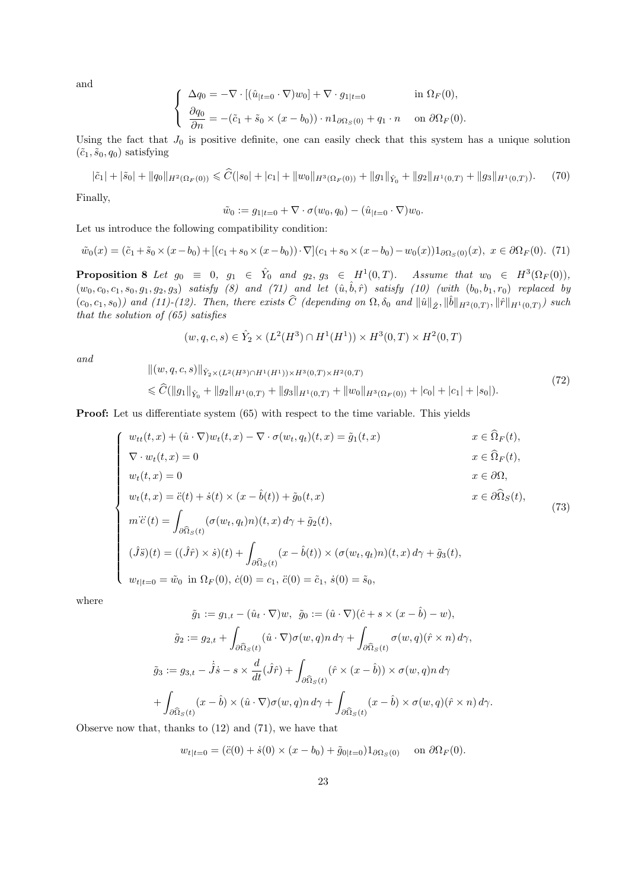and

$$
\begin{cases}\n\Delta q_0 = -\nabla \cdot [(\hat{u}_{|t=0} \cdot \nabla) w_0] + \nabla \cdot g_{1|t=0} & \text{in } \Omega_F(0), \\
\frac{\partial q_0}{\partial n} = -(\tilde{c}_1 + \tilde{s}_0 \times (x - b_0)) \cdot n \mathbb{1}_{\partial \Omega_S(0)} + q_1 \cdot n & \text{on } \partial \Omega_F(0).\n\end{cases}
$$

Using the fact that  $J_0$  is positive definite, one can easily check that this system has a unique solution  $(\tilde{c}_1, \tilde{s}_0, q_0)$  satisfying

$$
|\tilde{c}_1| + |\tilde{s}_0| + \|q_0\|_{H^2(\Omega_F(0))} \leq \widehat{C}(|s_0| + |c_1| + \|w_0\|_{H^3(\Omega_F(0))} + \|g_1\|_{\hat{Y}_0} + \|g_2\|_{H^1(0,T)} + \|g_3\|_{H^1(0,T)}).
$$
 (70)

Finally,

$$
\tilde{w}_0 := g_{1|t=0} + \nabla \cdot \sigma(w_0, q_0) - (\hat{u}_{|t=0} \cdot \nabla) w_0.
$$

Let us introduce the following compatibility condition:

$$
\tilde{w}_0(x) = (\tilde{c}_1 + \tilde{s}_0 \times (x - b_0) + [(c_1 + s_0 \times (x - b_0)) \cdot \nabla](c_1 + s_0 \times (x - b_0) - w_0(x))1_{\partial \Omega_S(0)}(x), \ x \in \partial \Omega_F(0). \tag{71}
$$

**Proposition 8** Let  $g_0 \equiv 0$ ,  $g_1 \in \hat{Y}_0$  and  $g_2, g_3 \in H^1(0,T)$ . Assume that  $w_0 \in H^3(\Omega_F(0))$ ,  $(w_0, c_0, c_1, s_0, g_1, g_2, g_3)$  satisfy  $(8)$  and  $(71)$  and let  $(\hat{u}, \hat{b}, \hat{r})$  satisfy  $(10)$  (with  $(b_0, b_1, r_0)$  replaced by  $(c_0, c_1, s_0)$  and  $(11)-(12)$ . Then, there exists  $\widehat{C}$  (depending on  $\Omega$ ,  $\delta_0$  and  $\|\hat{u}\|_{\hat{Z}}, \|\hat{b}\|_{H^2(0,T)}, \|\hat{r}\|_{H^1(0,T)})$  such that the solution of (65) satisfies

$$
(w, q, c, s) \in \hat{Y}_2 \times (L^2(H^3) \cap H^1(H^1)) \times H^3(0, T) \times H^2(0, T)
$$

and

$$
\| (w, q, c, s) \|_{\hat{Y}_2 \times (L^2(H^3) \cap H^1(H^1)) \times H^3(0, T) \times H^2(0, T)}
$$
  
\$\leq \widehat{C}(\|g\_1\|\_{\hat{Y}\_0} + \|g\_2\|\_{H^1(0, T)} + \|g\_3\|\_{H^1(0, T)} + \|w\_0\|\_{H^3(\Omega\_F(0))} + |c\_0| + |c\_1| + |s\_0|). \tag{72}

**Proof:** Let us differentiate system  $(65)$  with respect to the time variable. This yields

$$
\begin{cases}\nw_{tt}(t,x) + (\hat{u} \cdot \nabla)w_t(t,x) - \nabla \cdot \sigma(w_t, q_t)(t,x) = \tilde{g}_1(t,x) & x \in \Omega_F(t), \\
\nabla \cdot w_t(t,x) = 0 & x \in \widehat{\Omega}_F(t), \\
w_t(t,x) = 0 & x \in \partial\Omega, \\
w_t(t,x) = \ddot{c}(t) + \dot{s}(t) \times (x - \hat{b}(t)) + \tilde{g}_0(t,x) & x \in \partial\widehat{\Omega}_S(t), \\
m\ddot{c}(t) = \int_{\partial\widehat{\Omega}_S(t)} (\sigma(w_t, q_t)n)(t,x) d\gamma + \tilde{g}_2(t), \\
(\hat{J}\ddot{s})(t) = ((\hat{J}\hat{r}) \times \dot{s})(t) + \int_{\partial\widehat{\Omega}_S(t)} (x - \hat{b}(t)) \times (\sigma(w_t, q_t)n)(t,x) d\gamma + \tilde{g}_3(t), \\
w_{t|t=0} = \tilde{w}_0 \text{ in } \Omega_F(0), \dot{c}(0) = c_1, \ddot{c}(0) = \tilde{c}_1, \dot{s}(0) = \tilde{s}_0,\n\end{cases} (73)
$$

where

$$
\tilde{g}_1 := g_{1,t} - (\hat{u}_t \cdot \nabla)w, \ \ \tilde{g}_0 := (\hat{u} \cdot \nabla)(\dot{c} + s \times (x - \hat{b}) - w),
$$

$$
\tilde{g}_2 := g_{2,t} + \int_{\partial \hat{\Omega}_S(t)} (\hat{u} \cdot \nabla)\sigma(w, q) n \, d\gamma + \int_{\partial \hat{\Omega}_S(t)} \sigma(w, q)(\hat{r} \times n) \, d\gamma,
$$

$$
\tilde{g}_3 := g_{3,t} - \dot{\tilde{J}}\dot{s} - s \times \frac{d}{dt}(\hat{J}\hat{r}) + \int_{\partial \hat{\Omega}_S(t)} (\hat{r} \times (x - \hat{b})) \times \sigma(w, q) n \, d\gamma
$$

$$
+ \int_{\partial \hat{\Omega}_S(t)} (x - \hat{b}) \times (\hat{u} \cdot \nabla)\sigma(w, q) n \, d\gamma + \int_{\partial \hat{\Omega}_S(t)} (x - \hat{b}) \times \sigma(w, q)(\hat{r} \times n) \, d\gamma.
$$

Observe now that, thanks to (12) and (71), we have that

 $w_{t|t=0} = (\ddot{c}(0) + \dot{s}(0) \times (x - b_0) + \tilde{g}_{0|t=0})1_{\partial \Omega_S(0)}$  on  $\partial \Omega_F(0)$ .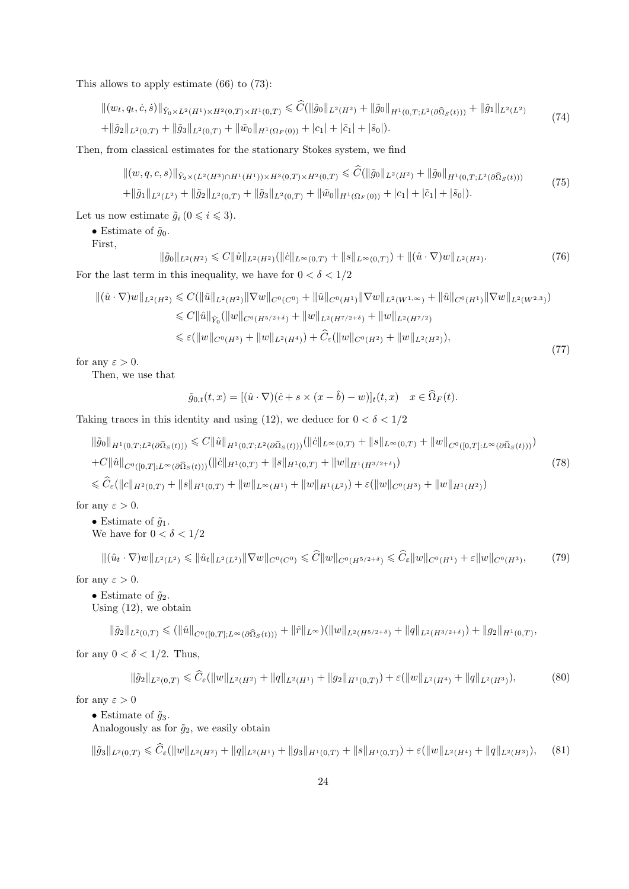This allows to apply estimate (66) to (73):

$$
\|(w_t, q_t, \dot{c}, \dot{s})\|_{\hat{Y}_0 \times L^2(H^1) \times H^2(0,T) \times H^1(0,T)} \leq \widehat{C}(\|\tilde{g}_0\|_{L^2(H^2)} + \|\tilde{g}_0\|_{H^1(0,T;L^2(\partial \Omega_S(t)))} + \|\tilde{g}_1\|_{L^2(L^2)}
$$
(74)

 $+||\tilde{g}_2||_{L^2(0,T)} + ||\tilde{g}_3||_{L^2(0,T)} + ||\tilde{w}_0||_{H^1(\Omega_F(0))} + |c_1| + |\tilde{c}_1| + |\tilde{s}_0|.$ 

Then, from classical estimates for the stationary Stokes system, we find

$$
\| (w, q, c, s) \|_{\hat{Y}_2 \times (L^2(H^3) \cap H^1(H^1)) \times H^3(0, T) \times H^2(0, T)} \leq \widehat{C}(\|\tilde{g}_0\|_{L^2(H^2)} + \|\tilde{g}_0\|_{H^1(0, T; L^2(\partial \Omega_S(t)))}
$$
  
+
$$
\|\tilde{g}_1\|_{L^2(L^2)} + \|\tilde{g}_2\|_{L^2(0, T)} + \|\tilde{g}_3\|_{L^2(0, T)} + \|\tilde{w}_0\|_{H^1(\Omega_F(0))} + |c_1| + |\tilde{c}_1| + |\tilde{s}_0|).
$$
\n(75)

Let us now estimate  $\tilde{g}_i$  ( $0 \leq i \leq 3$ ).

• Estimate of  $\tilde{q}_0$ .

First,

$$
\|\tilde{g}_0\|_{L^2(H^2)} \leq C \|\hat{u}\|_{L^2(H^2)} (\|\dot{c}\|_{L^\infty(0,T)} + \|s\|_{L^\infty(0,T)}) + \|(\hat{u} \cdot \nabla)w\|_{L^2(H^2)}.
$$
\nFor the last term in this inequality, we have for  $0 < \delta < 1/2$ .

$$
\begin{split} \|( \hat{u} \cdot \nabla) w \|_{L^{2}(H^{2})} &\leq C(\|\hat{u}\|_{L^{2}(H^{2})} \|\nabla w \|_{C^{0}(C^{0})} + \|\hat{u}\|_{C^{0}(H^{1})} \|\nabla w \|_{L^{2}(W^{1,\infty})} + \|\hat{u}\|_{C^{0}(H^{1})} \|\nabla w \|_{L^{2}(W^{2,3})}) \\ &\leq C\|\hat{u}\|_{\hat{Y}_{0}}(\|w \|_{C^{0}(H^{5/2+\delta})} + \|w \|_{L^{2}(H^{7/2+\delta})} + \|w \|_{L^{2}(H^{7/2})} \\ &\leq \varepsilon(\|w \|_{C^{0}(H^{3})} + \|w \|_{L^{2}(H^{4})}) + \widehat{C}_{\varepsilon}(\|w \|_{C^{0}(H^{2})} + \|w \|_{L^{2}(H^{2})}), \end{split} \tag{77}
$$

for any  $\varepsilon > 0$ .

Then, we use that

$$
\tilde{g}_{0,t}(t,x) = [(\hat{u} \cdot \nabla)(\dot{c} + s \times (x - \hat{b}) - w)]_t(t,x) \quad x \in \Omega_F(t).
$$

Taking traces in this identity and using (12), we deduce for  $0 < \delta < 1/2$ 

$$
\|\tilde{g}_0\|_{H^1(0,T;L^2(\partial\Omega_S(t)))} \leq C \|\hat{u}\|_{H^1(0,T;L^2(\partial\Omega_S(t)))} (\|\dot{c}\|_{L^\infty(0,T)} + \|s\|_{L^\infty(0,T)} + \|w\|_{C^0([0,T];L^\infty(\partial\Omega_S(t)))})
$$
  
+
$$
C \|\hat{u}\|_{C^0([0,T];L^\infty(\partial\Omega_S(t)))} (\|\dot{c}\|_{H^1(0,T)} + \|s\|_{H^1(0,T)} + \|w\|_{H^1(H^{3/2+\delta})})
$$
(78)

 $\leq \widehat{C}_{\varepsilon}(\|c\|_{H^2(0,T)} + \|s\|_{H^1(0,T)} + \|w\|_{L^{\infty}(H^1)} + \|w\|_{H^1(L^2)}) + \varepsilon(\|w\|_{C^0(H^3)} + \|w\|_{H^1(H^2)})$ 

for any  $\varepsilon > 0$ .

### • Estimate of  $\tilde{q}_1$ . We have for  $0 < \delta < 1/2$

$$
\|(\hat{u}_t \cdot \nabla)w\|_{L^2(L^2)} \le \|\hat{u}_t\|_{L^2(L^2)} \|\nabla w\|_{C^0(C^0)} \le \widehat{C} \|w\|_{C^0(H^{5/2+\delta})} \le \widehat{C}_{\varepsilon} \|w\|_{C^0(H^1)} + \varepsilon \|w\|_{C^0(H^3)},\tag{79}
$$

for any  $\varepsilon > 0$ .

• Estimate of  $\tilde{q}_2$ . Using (12), we obtain

 $\|\tilde{g}_2\|_{L^2(0,T)} \leqslant (\|\hat{u}\|_{C^0([0,T];L^\infty(\partial\Omega_S(t)))} + \|\hat{r}\|_{L^\infty})(\|w\|_{L^2(H^{5/2+\delta})} + \|q\|_{L^2(H^{3/2+\delta})}) + \|g_2\|_{H^1(0,T)},$ 

for any  $0 < \delta < 1/2$ . Thus,

$$
\|\tilde{g}_2\|_{L^2(0,T)} \leq \widehat{C}_{\varepsilon}(\|w\|_{L^2(H^2)} + \|q\|_{L^2(H^1)} + \|g_2\|_{H^1(0,T)}) + \varepsilon(\|w\|_{L^2(H^4)} + \|q\|_{L^2(H^3)}),
$$
\n(80)

for any  $\varepsilon > 0$ 

• Estimate of  $\tilde{g}_3$ .

Analogously as for  $\tilde{g}_2$ , we easily obtain

 $\|\tilde{g}_3\|_{L^2(0,T)} \leq \widehat{C}_{\varepsilon}(\|w\|_{L^2(H^2)} + \|q\|_{L^2(H^1)} + \|g_3\|_{H^1(0,T)} + \|s\|_{H^1(0,T)}) + \varepsilon(\|w\|_{L^2(H^4)} + \|q\|_{L^2(H^3)}),$  (81)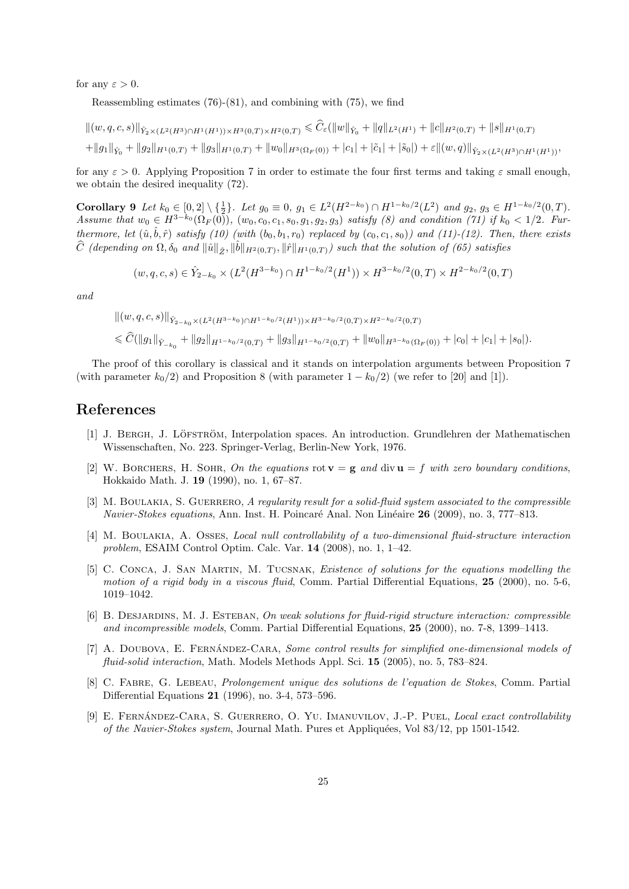for any  $\varepsilon > 0$ .

Reassembling estimates (76)-(81), and combining with (75), we find

$$
\| (w, q, c, s) \|_{\hat{Y}_2 \times (L^2(H^3) \cap H^1(H^1)) \times H^3(0, T) \times H^2(0, T)} \leq \widehat{C}_{\varepsilon}(\|w\|_{\hat{Y}_0} + \|q\|_{L^2(H^1)} + \|c\|_{H^2(0, T)} + \|s\|_{H^1(0, T)} + \|q\|_{H^1(0, T)} + \|g_1\|_{\hat{Y}_0} + \|g_2\|_{H^1(0, T)} + \|g_3\|_{H^1(0, T)} + \|w_0\|_{H^3(\Omega_F(0))} + |c_1| + |\tilde{c}_1| + |\tilde{s}_0|) + \varepsilon \| (w, q) \|_{\hat{Y}_2 \times (L^2(H^3) \cap H^1(H^1))},
$$

for any  $\varepsilon > 0$ . Applying Proposition 7 in order to estimate the four first terms and taking  $\varepsilon$  small enough, we obtain the desired inequality (72).

Corollary 9 Let  $k_0 \in [0,2] \setminus \{\frac{1}{2}\}\$ . Let  $g_0 \equiv 0$ ,  $g_1 \in L^2(H^{2-k_0}) \cap H^{1-k_0/2}(L^2)$  and  $g_2, g_3 \in H^{1-k_0/2}(0,T)$ . Assume that  $w_0 \in H^{3-k_0}(\Omega_F(0))$ ,  $(w_0, c_0, c_1, s_0, g_1, g_2, g_3)$  satisfy (8) and condition (71) if  $k_0 < 1/2$ . Furthermore, let  $(\hat{u}, \hat{b}, \hat{r})$  satisfy  $(10)$  (with  $(b_0, b_1, r_0)$  replaced by  $(c_0, c_1, s_0)$ ) and  $(11)-(12)$ . Then, there exists  $\widehat{C}$  (depending on  $\Omega$ ,  $\delta_0$  and  $\|\hat{u}\|_{\hat{Z}}, \|\hat{b}\|_{H^2(0,T)}, \|\hat{r}\|_{H^1(0,T)})$  such that the solution of (65) satisfies

$$
(w, q, c, s) \in \hat{Y}_{2-k_0} \times (L^2(H^{3-k_0}) \cap H^{1-k_0/2}(H^1)) \times H^{3-k_0/2}(0, T) \times H^{2-k_0/2}(0, T)
$$

and

$$
\| (w, q, c, s) \|_{\hat{Y}_{2-k_0} \times (L^2(H^{3-k_0}) \cap H^{1-k_0/2}(H^1)) \times H^{3-k_0/2}(0,T) \times H^{2-k_0/2}(0,T)}
$$
  

$$
\leq \widehat{C} (\|g_1\|_{\hat{Y}_{-k_0}} + \|g_2\|_{H^{1-k_0/2}(0,T)} + \|g_3\|_{H^{1-k_0/2}(0,T)} + \|w_0\|_{H^{3-k_0}(\Omega_F(0))} + |c_0| + |c_1| + |s_0|).
$$

The proof of this corollary is classical and it stands on interpolation arguments between Proposition 7 (with parameter  $k_0/2$ ) and Proposition 8 (with parameter  $1 - k_0/2$ ) (we refer to [20] and [1]).

# References

- [1] J. BERGH, J. LÖFSTRÖM, Interpolation spaces. An introduction. Grundlehren der Mathematischen Wissenschaften, No. 223. Springer-Verlag, Berlin-New York, 1976.
- [2] W. BORCHERS, H. SOHR, On the equations rot  $\mathbf{v} = \mathbf{g}$  and div  $\mathbf{u} = f$  with zero boundary conditions, Hokkaido Math. J. 19 (1990), no. 1, 67–87.
- [3] M. BOULAKIA, S. GUERRERO, A regularity result for a solid-fluid system associated to the compressible Navier-Stokes equations, Ann. Inst. H. Poincaré Anal. Non Linéaire 26 (2009), no. 3, 777–813.
- [4] M. Boulakia, A. Osses, Local null controllability of a two-dimensional fluid-structure interaction problem, ESAIM Control Optim. Calc. Var. 14 (2008), no. 1, 1–42.
- [5] C. Conca, J. San Martin, M. Tucsnak, Existence of solutions for the equations modelling the motion of a rigid body in a viscous fluid, Comm. Partial Differential Equations, 25 (2000), no. 5-6, 1019–1042.
- [6] B. DESJARDINS, M. J. ESTEBAN, On weak solutions for fluid-rigid structure interaction: compressible and incompressible models, Comm. Partial Differential Equations, 25 (2000), no. 7-8, 1399–1413.
- [7] A. DOUBOVA, E. FERNÁNDEZ-CARA, Some control results for simplified one-dimensional models of fluid-solid interaction, Math. Models Methods Appl. Sci. 15 (2005), no. 5, 783–824.
- [8] C. Fabre, G. Lebeau, Prolongement unique des solutions de l'equation de Stokes, Comm. Partial Differential Equations 21 (1996), no. 3-4, 573–596.
- [9] E. FERNÁNDEZ-CARA, S. GUERRERO, O. YU. IMANUVILOV, J.-P. PUEL, Local exact controllability of the Navier-Stokes system, Journal Math. Pures et Appliquées, Vol  $83/12$ , pp 1501-1542.